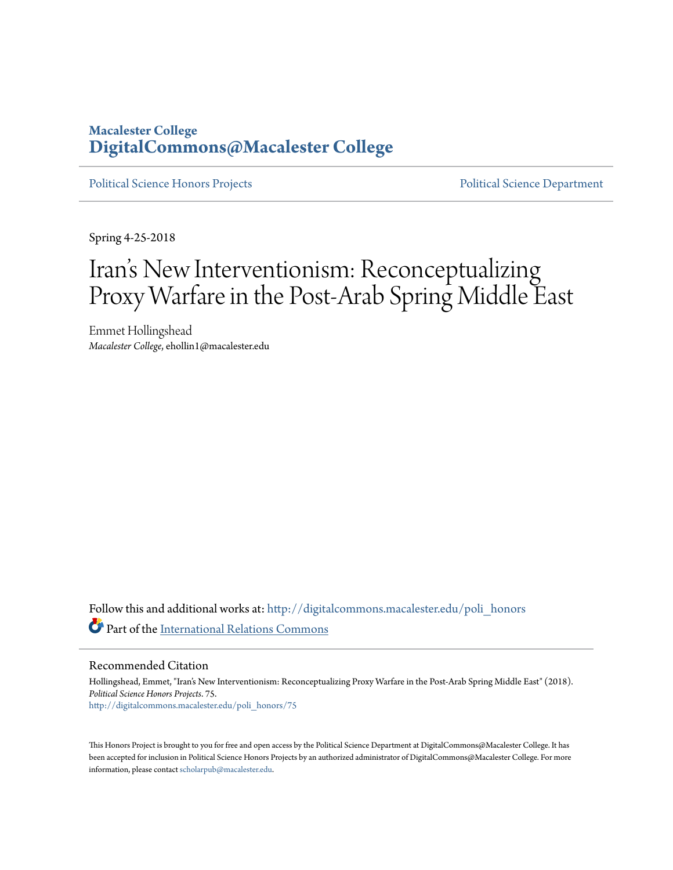### **Macalester College [DigitalCommons@Macalester College](http://digitalcommons.macalester.edu?utm_source=digitalcommons.macalester.edu%2Fpoli_honors%2F75&utm_medium=PDF&utm_campaign=PDFCoverPages)**

[Political Science Honors Projects](http://digitalcommons.macalester.edu/poli_honors?utm_source=digitalcommons.macalester.edu%2Fpoli_honors%2F75&utm_medium=PDF&utm_campaign=PDFCoverPages) [Political Science Department](http://digitalcommons.macalester.edu/politicalscience?utm_source=digitalcommons.macalester.edu%2Fpoli_honors%2F75&utm_medium=PDF&utm_campaign=PDFCoverPages)

Spring 4-25-2018

# Iran 's New Interventionism: Reconceptualizing Proxy Warfare in the Post-Arab Spring Middle East

Emmet Hollingshead *Macalester College*, ehollin1@macalester.edu

Follow this and additional works at: [http://digitalcommons.macalester.edu/poli\\_honors](http://digitalcommons.macalester.edu/poli_honors?utm_source=digitalcommons.macalester.edu%2Fpoli_honors%2F75&utm_medium=PDF&utm_campaign=PDFCoverPages) Part of the [International Relations Commons](http://network.bepress.com/hgg/discipline/389?utm_source=digitalcommons.macalester.edu%2Fpoli_honors%2F75&utm_medium=PDF&utm_campaign=PDFCoverPages)

Recommended Citation

Hollingshead, Emmet, "Iran's New Interventionism: Reconceptualizing Proxy Warfare in the Post-Arab Spring Middle East" (2018). *Political Science Honors Projects*. 75. [http://digitalcommons.macalester.edu/poli\\_honors/75](http://digitalcommons.macalester.edu/poli_honors/75?utm_source=digitalcommons.macalester.edu%2Fpoli_honors%2F75&utm_medium=PDF&utm_campaign=PDFCoverPages)

This Honors Project is brought to you for free and open access by the Political Science Department at DigitalCommons@Macalester College. It has been accepted for inclusion in Political Science Honors Projects by an authorized administrator of DigitalCommons@Macalester College. For more information, please contact [scholarpub@macalester.edu.](mailto:scholarpub@macalester.edu)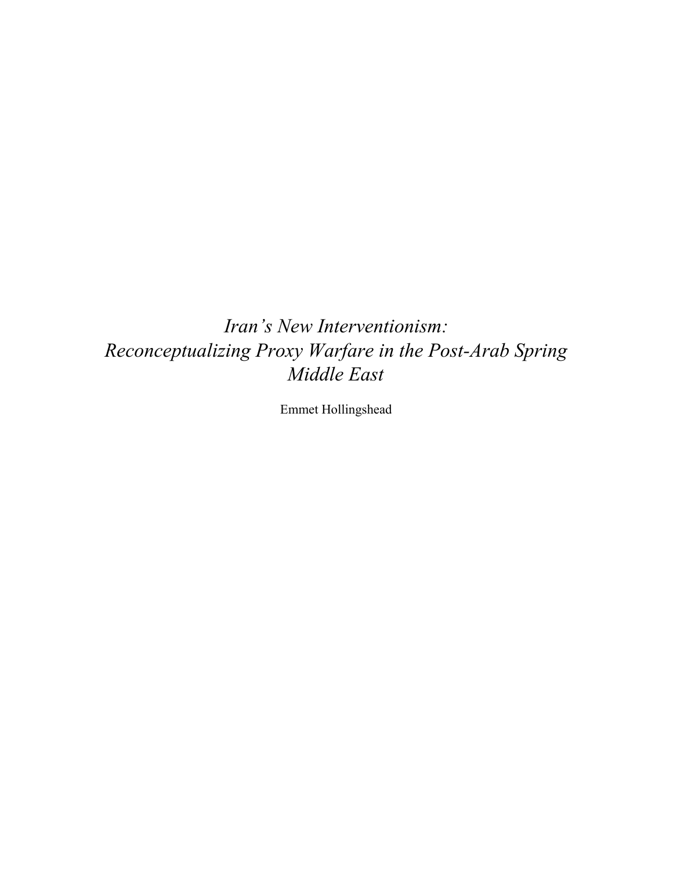## *Iran's New Interventionism: Reconceptualizing Proxy Warfare in the Post-Arab Spring Middle East*

Emmet Hollingshead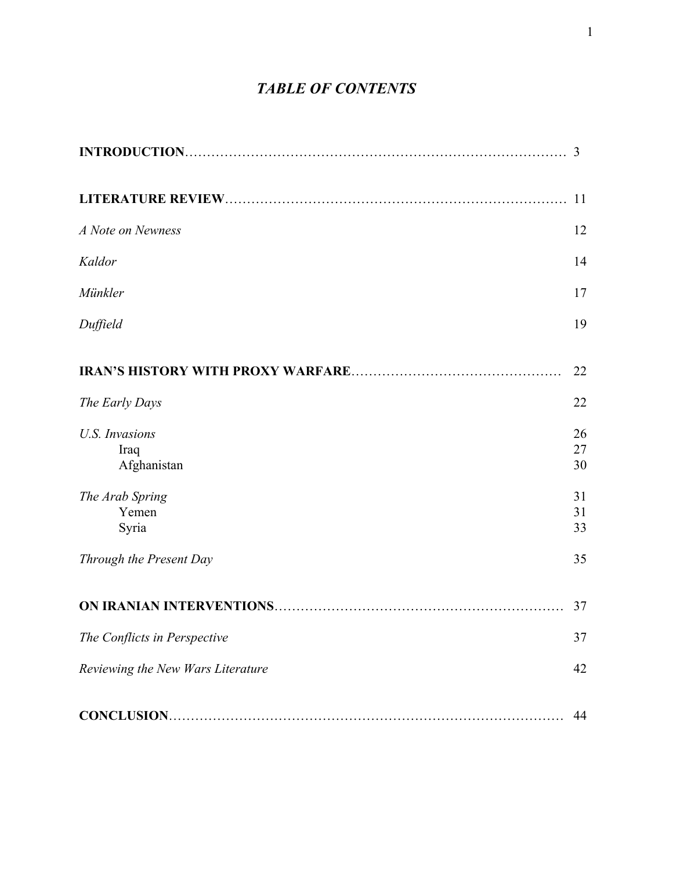## *TABLE OF CONTENTS*

|                                              | 3              |
|----------------------------------------------|----------------|
|                                              | 11             |
| A Note on Newness                            | 12             |
| Kaldor                                       | 14             |
| Münkler                                      | 17             |
| Duffield                                     | 19             |
|                                              | 22             |
| The Early Days                               | 22             |
| <b>U.S. Invasions</b><br>Iraq<br>Afghanistan | 26<br>27<br>30 |
| The Arab Spring<br>Yemen<br>Syria            | 31<br>31<br>33 |
| Through the Present Day                      | 35             |
|                                              | 37             |
| The Conflicts in Perspective                 | 37             |
| Reviewing the New Wars Literature            | 42             |
|                                              | 44             |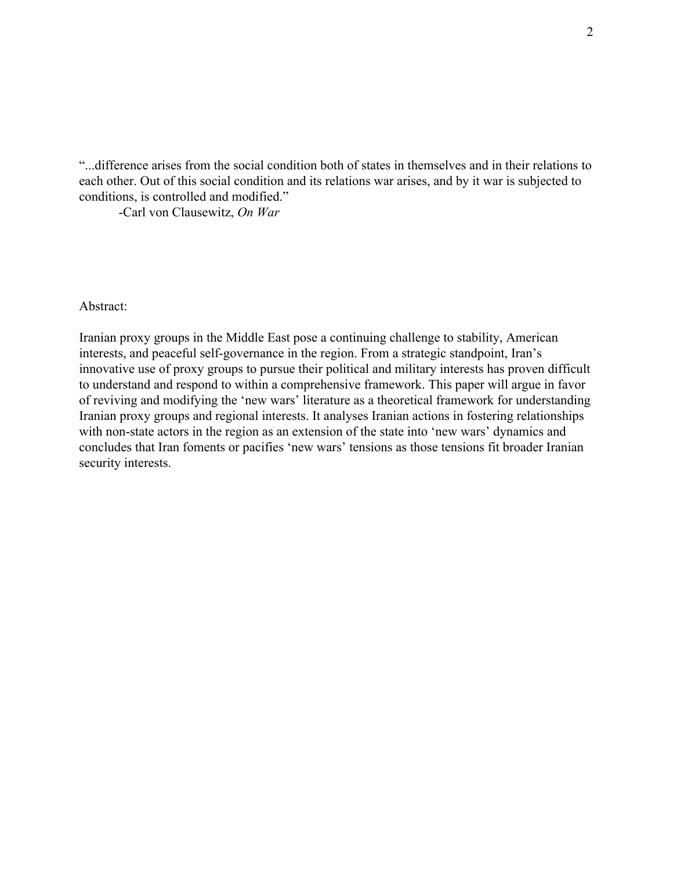"...difference arises from the social condition both of states in themselves and in their relations to each other. Out of this social condition and its relations war arises, and by it war is subjected to conditions, is controlled and modified."

-Carl von Clausewitz, *On War*

Abstract:

Iranian proxy groups in the Middle East pose a continuing challenge to stability, American interests, and peaceful self-governance in the region. From a strategic standpoint, Iran's innovative use of proxy groups to pursue their political and military interests has proven difficult to understand and respond to within a comprehensive framework. This paper will argue in favor of reviving and modifying the 'new wars' literature as a theoretical framework for understanding Iranian proxy groups and regional interests. It analyses Iranian actions in fostering relationships with non-state actors in the region as an extension of the state into 'new wars' dynamics and concludes that Iran foments or pacifies 'new wars' tensions as those tensions fit broader Iranian security interests.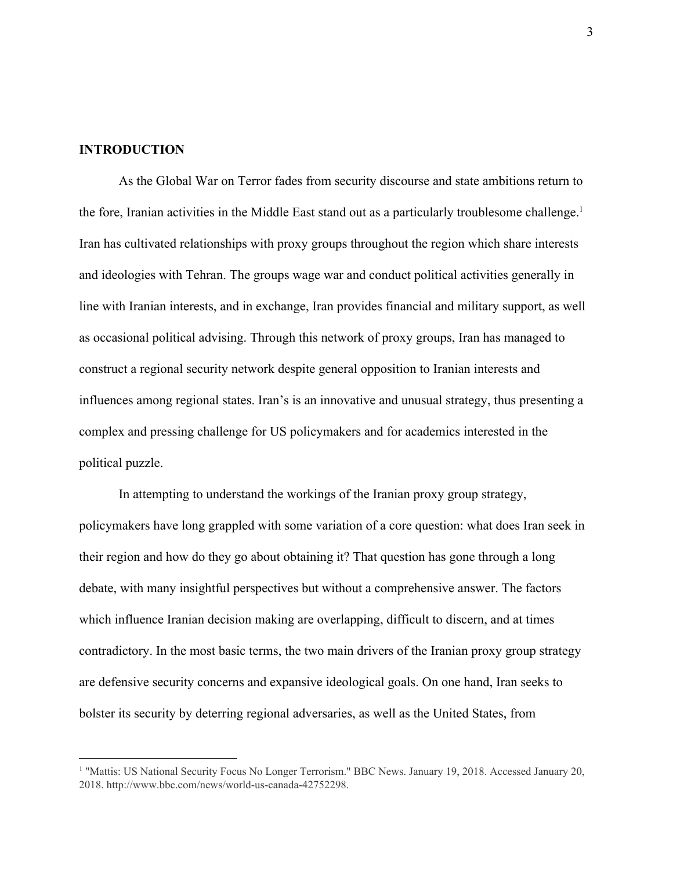#### **INTRODUCTION**

As the Global War on Terror fades from security discourse and state ambitions return to the fore, Iranian activities in the Middle East stand out as a particularly troublesome challenge.<sup>1</sup> Iran has cultivated relationships with proxy groups throughout the region which share interests and ideologies with Tehran. The groups wage war and conduct political activities generally in line with Iranian interests, and in exchange, Iran provides financial and military support, as well as occasional political advising. Through this network of proxy groups, Iran has managed to construct a regional security network despite general opposition to Iranian interests and influences among regional states. Iran's is an innovative and unusual strategy, thus presenting a complex and pressing challenge for US policymakers and for academics interested in the political puzzle.

In attempting to understand the workings of the Iranian proxy group strategy, policymakers have long grappled with some variation of a core question: what does Iran seek in their region and how do they go about obtaining it? That question has gone through a long debate, with many insightful perspectives but without a comprehensive answer. The factors which influence Iranian decision making are overlapping, difficult to discern, and at times contradictory. In the most basic terms, the two main drivers of the Iranian proxy group strategy are defensive security concerns and expansive ideological goals. On one hand, Iran seeks to bolster its security by deterring regional adversaries, as well as the United States, from

<sup>&</sup>lt;sup>1</sup> "Mattis: US National Security Focus No Longer Terrorism." BBC News. January 19, 2018. Accessed January 20, 2018. http://www.bbc.com/news/world-us-canada-42752298.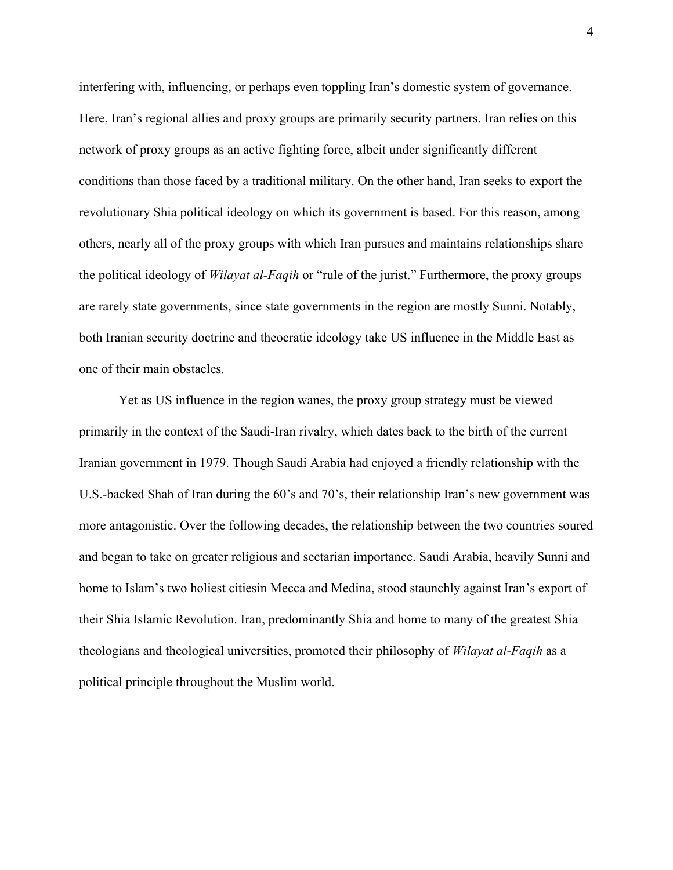interfering with, influencing, or perhaps even toppling Iran's domestic system of governance. Here, Iran's regional allies and proxy groups are primarily security partners. Iran relies on this network of proxy groups as an active fighting force, albeit under significantly different conditions than those faced by a traditional military. On the other hand, Iran seeks to export the revolutionary Shia political ideology on which its government is based. For this reason, among others, nearly all of the proxy groups with which Iran pursues and maintains relationships share the political ideology of *Wilayat al-Faqih* or "rule of the jurist." Furthermore, the proxy groups are rarely state governments, since state governments in the region are mostly Sunni. Notably, both Iranian security doctrine and theocratic ideology take US influence in the Middle East as one of their main obstacles.

Yet as US influence in the region wanes, the proxy group strategy must be viewed primarily in the context of the Saudi-Iran rivalry, which dates back to the birth of the current Iranian government in 1979. Though Saudi Arabia had enjoyed a friendly relationship with the U.S.-backed Shah of Iran during the 60's and 70's, their relationship Iran's new government was more antagonistic. Over the following decades, the relationship between the two countries soured and began to take on greater religious and sectarian importance. Saudi Arabia, heavily Sunni and home to Islam's two holiest citiesin Mecca and Medina, stood staunchly against Iran's export of their Shia Islamic Revolution. Iran, predominantly Shia and home to many of the greatest Shia theologians and theological universities, promoted their philosophy of *Wilayat al-Faqih* as a political principle throughout the Muslim world.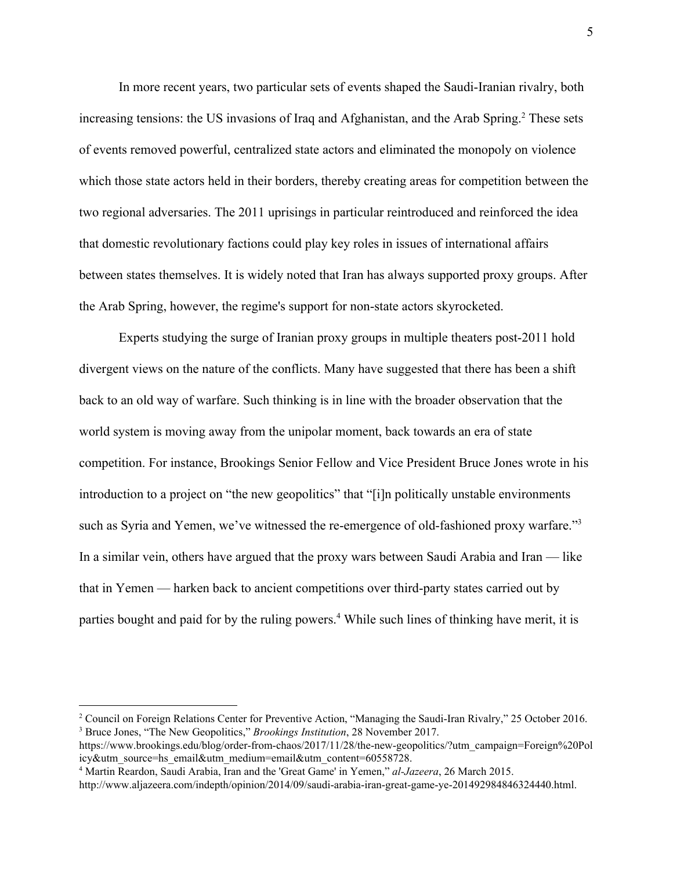In more recent years, two particular sets of events shaped the Saudi-Iranian rivalry, both increasing tensions: the US invasions of Iraq and Afghanistan, and the Arab Spring.<sup>2</sup> These sets of events removed powerful, centralized state actors and eliminated the monopoly on violence which those state actors held in their borders, thereby creating areas for competition between the two regional adversaries. The 2011 uprisings in particular reintroduced and reinforced the idea that domestic revolutionary factions could play key roles in issues of international affairs between states themselves. It is widely noted that Iran has always supported proxy groups. After the Arab Spring, however, the regime's support for non-state actors skyrocketed.

Experts studying the surge of Iranian proxy groups in multiple theaters post-2011 hold divergent views on the nature of the conflicts. Many have suggested that there has been a shift back to an old way of warfare. Such thinking is in line with the broader observation that the world system is moving away from the unipolar moment, back towards an era of state competition. For instance, Brookings Senior Fellow and Vice President Bruce Jones wrote in his introduction to a project on "the new geopolitics" that "[i]n politically unstable environments such as Syria and Yemen, we've witnessed the re-emergence of old-fashioned proxy warfare."<sup>3</sup> In a similar vein, others have argued that the proxy wars between Saudi Arabia and Iran — like that in Yemen — harken back to ancient competitions over third-party states carried out by parties bought and paid for by the ruling powers.<sup>4</sup> While such lines of thinking have merit, it is

<sup>&</sup>lt;sup>2</sup> Council on Foreign Relations Center for Preventive Action, "Managing the Saudi-Iran Rivalry," 25 October 2016. <sup>3</sup> Bruce Jones, "The New Geopolitics," *Brookings Institution*, 28 November 2017.

https://www.brookings.edu/blog/order-from-chaos/2017/11/28/the-new-geopolitics/?utm\_campaign=Foreign%20Pol icy&utm\_source=hs\_email&utm\_medium=email&utm\_content=60558728.

<sup>4</sup> Martin Reardon, Saudi Arabia, Iran and the 'Great Game' in Yemen," *al-Jazeera*, 26 March 2015.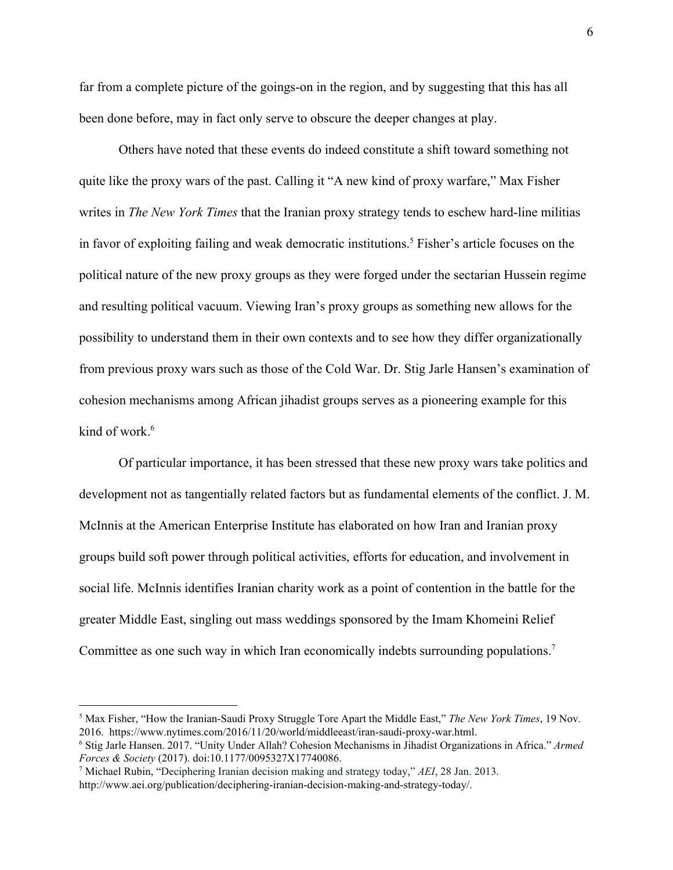far from a complete picture of the goings-on in the region, and by suggesting that this has all been done before, may in fact only serve to obscure the deeper changes at play.

Others have noted that these events do indeed constitute a shift toward something not quite like the proxy wars of the past. Calling it "A new kind of proxy warfare," Max Fisher writes in *The New York Times* that the Iranian proxy strategy tends to eschew hard-line militias in favor of exploiting failing and weak democratic institutions.<sup>5</sup> Fisher's article focuses on the political nature of the new proxy groups as they were forged under the sectarian Hussein regime and resulting political vacuum. Viewing Iran's proxy groups as something new allows for the possibility to understand them in their own contexts and to see how they differ organizationally from previous proxy wars such as those of the Cold War. Dr. Stig Jarle Hansen's examination of cohesion mechanisms among African jihadist groups serves as a pioneering example for this kind of work.<sup>6</sup>

Of particular importance, it has been stressed that these new proxy wars take politics and development not as tangentially related factors but as fundamental elements of the conflict. J. M. McInnis at the American Enterprise Institute has elaborated on how Iran and Iranian proxy groups build soft power through political activities, efforts for education, and involvement in social life. McInnis identifies Iranian charity work as a point of contention in the battle for the greater Middle East, singling out mass weddings sponsored by the Imam Khomeini Relief Committee as one such way in which Iran economically indebts surrounding populations.<sup>7</sup>

<sup>5</sup> Max Fisher, "How the Iranian-Saudi Proxy Struggle Tore Apart the Middle East," *The New York Times*, 19 Nov. 2016. https://www.nytimes.com/2016/11/20/world/middleeast/iran-saudi-proxy-war.html.

<sup>6</sup> Stig Jarle Hansen. 2017. "Unity Under Allah? Cohesion Mechanisms in Jihadist Organizations in Africa." *Armed Forces & Society* (2017). doi:10.1177/0095327X17740086.

<sup>7</sup> Michael Rubin, "Deciphering Iranian decision making and strategy today," *AEI*, 28 Jan. 2013.

http://www.aei.org/publication/deciphering-iranian-decision-making-and-strategy-today/.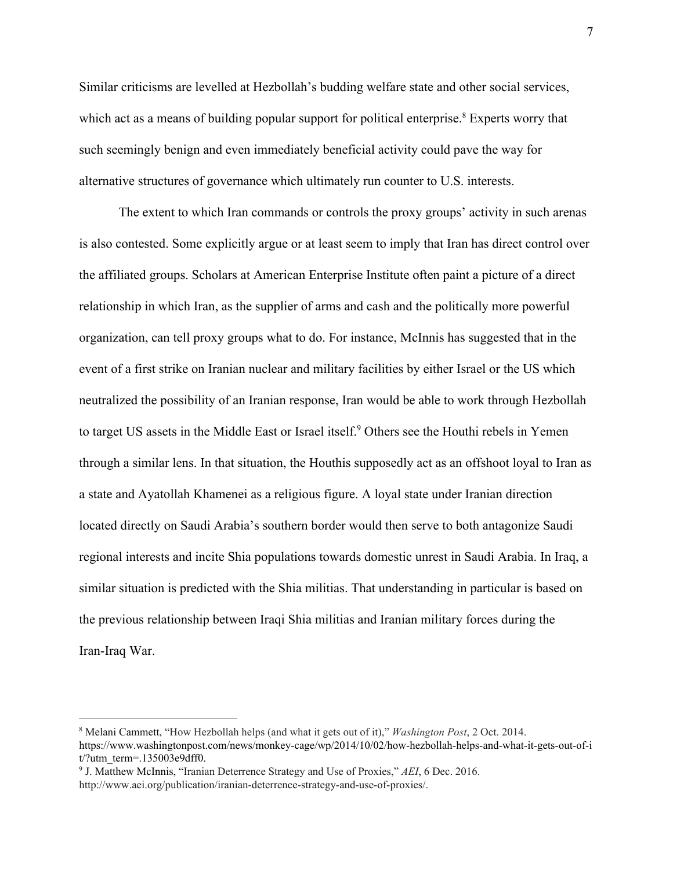Similar criticisms are levelled at Hezbollah's budding welfare state and other social services, which act as a means of building popular support for political enterprise.<sup>8</sup> Experts worry that such seemingly benign and even immediately beneficial activity could pave the way for alternative structures of governance which ultimately run counter to U.S. interests.

The extent to which Iran commands or controls the proxy groups' activity in such arenas is also contested. Some explicitly argue or at least seem to imply that Iran has direct control over the affiliated groups. Scholars at American Enterprise Institute often paint a picture of a direct relationship in which Iran, as the supplier of arms and cash and the politically more powerful organization, can tell proxy groups what to do. For instance, McInnis has suggested that in the event of a first strike on Iranian nuclear and military facilities by either Israel or the US which neutralized the possibility of an Iranian response, Iran would be able to work through Hezbollah to target US assets in the Middle East or Israel itself.<sup>9</sup> Others see the Houthi rebels in Yemen through a similar lens. In that situation, the Houthis supposedly act as an offshoot loyal to Iran as a state and Ayatollah Khamenei as a religious figure. A loyal state under Iranian direction located directly on Saudi Arabia's southern border would then serve to both antagonize Saudi regional interests and incite Shia populations towards domestic unrest in Saudi Arabia. In Iraq, a similar situation is predicted with the Shia militias. That understanding in particular is based on the previous relationship between Iraqi Shia militias and Iranian military forces during the Iran-Iraq War.

<sup>8</sup> Melani Cammett, "How Hezbollah helps (and what it gets out of it)," *Washington Post*, 2 Oct. 2014. https://www.washingtonpost.com/news/monkey-cage/wp/2014/10/02/how-hezbollah-helps-and-what-it-gets-out-of-i t/?utm\_term=.135003e9dff0.

<sup>9</sup> J. Matthew McInnis, "Iranian Deterrence Strategy and Use of Proxies," *AEI*, 6 Dec. 2016. http://www.aei.org/publication/iranian-deterrence-strategy-and-use-of-proxies/.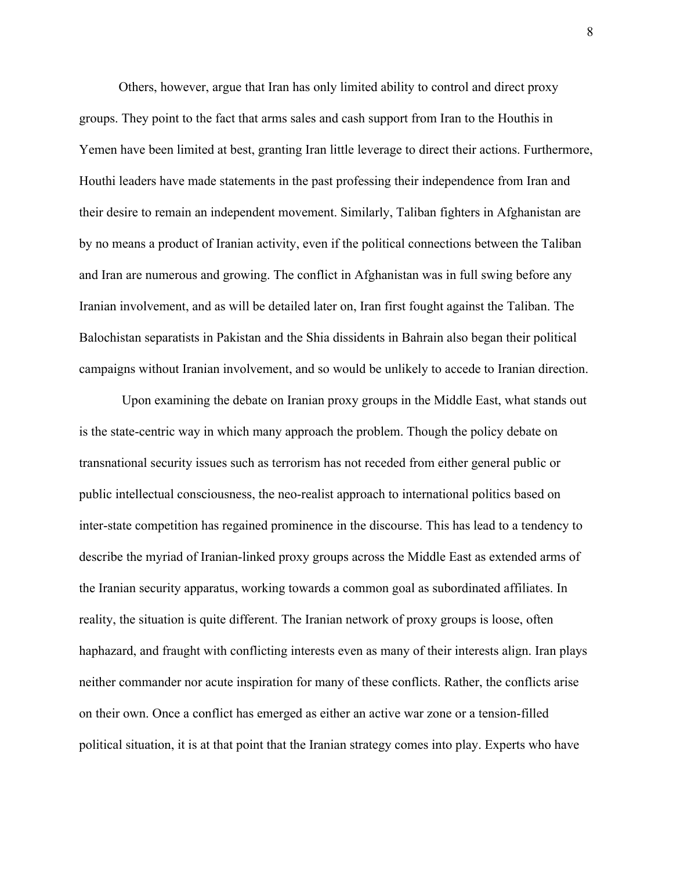Others, however, argue that Iran has only limited ability to control and direct proxy groups. They point to the fact that arms sales and cash support from Iran to the Houthis in Yemen have been limited at best, granting Iran little leverage to direct their actions. Furthermore, Houthi leaders have made statements in the past professing their independence from Iran and their desire to remain an independent movement. Similarly, Taliban fighters in Afghanistan are by no means a product of Iranian activity, even if the political connections between the Taliban and Iran are numerous and growing. The conflict in Afghanistan was in full swing before any Iranian involvement, and as will be detailed later on, Iran first fought against the Taliban. The Balochistan separatists in Pakistan and the Shia dissidents in Bahrain also began their political campaigns without Iranian involvement, and so would be unlikely to accede to Iranian direction.

 Upon examining the debate on Iranian proxy groups in the Middle East, what stands out is the state-centric way in which many approach the problem. Though the policy debate on transnational security issues such as terrorism has not receded from either general public or public intellectual consciousness, the neo-realist approach to international politics based on inter-state competition has regained prominence in the discourse. This has lead to a tendency to describe the myriad of Iranian-linked proxy groups across the Middle East as extended arms of the Iranian security apparatus, working towards a common goal as subordinated affiliates. In reality, the situation is quite different. The Iranian network of proxy groups is loose, often haphazard, and fraught with conflicting interests even as many of their interests align. Iran plays neither commander nor acute inspiration for many of these conflicts. Rather, the conflicts arise on their own. Once a conflict has emerged as either an active war zone or a tension-filled political situation, it is at that point that the Iranian strategy comes into play. Experts who have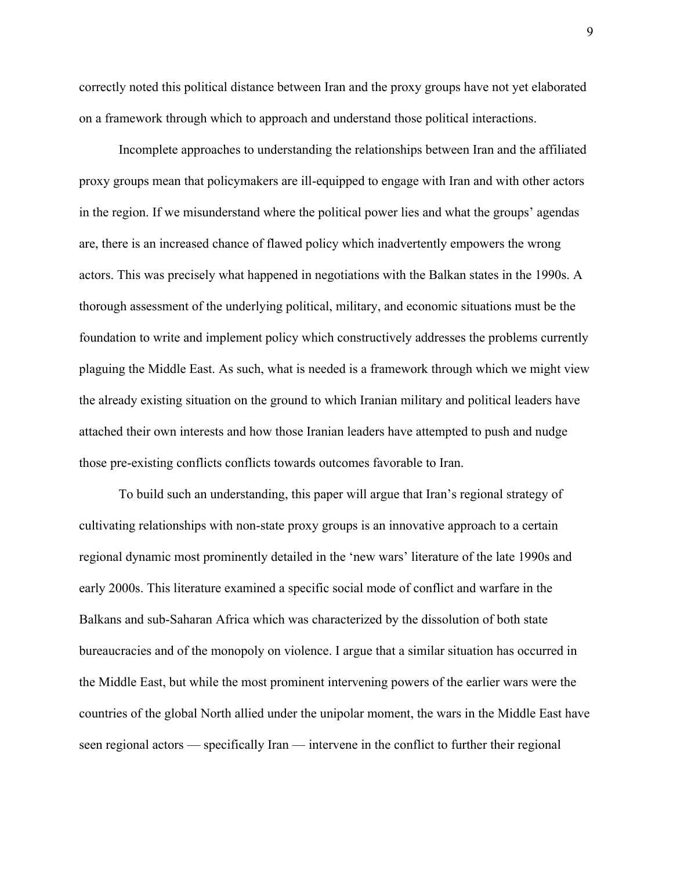correctly noted this political distance between Iran and the proxy groups have not yet elaborated on a framework through which to approach and understand those political interactions.

Incomplete approaches to understanding the relationships between Iran and the affiliated proxy groups mean that policymakers are ill-equipped to engage with Iran and with other actors in the region. If we misunderstand where the political power lies and what the groups' agendas are, there is an increased chance of flawed policy which inadvertently empowers the wrong actors. This was precisely what happened in negotiations with the Balkan states in the 1990s. A thorough assessment of the underlying political, military, and economic situations must be the foundation to write and implement policy which constructively addresses the problems currently plaguing the Middle East. As such, what is needed is a framework through which we might view the already existing situation on the ground to which Iranian military and political leaders have attached their own interests and how those Iranian leaders have attempted to push and nudge those pre-existing conflicts conflicts towards outcomes favorable to Iran.

To build such an understanding, this paper will argue that Iran's regional strategy of cultivating relationships with non-state proxy groups is an innovative approach to a certain regional dynamic most prominently detailed in the 'new wars' literature of the late 1990s and early 2000s. This literature examined a specific social mode of conflict and warfare in the Balkans and sub-Saharan Africa which was characterized by the dissolution of both state bureaucracies and of the monopoly on violence. I argue that a similar situation has occurred in the Middle East, but while the most prominent intervening powers of the earlier wars were the countries of the global North allied under the unipolar moment, the wars in the Middle East have seen regional actors — specifically Iran — intervene in the conflict to further their regional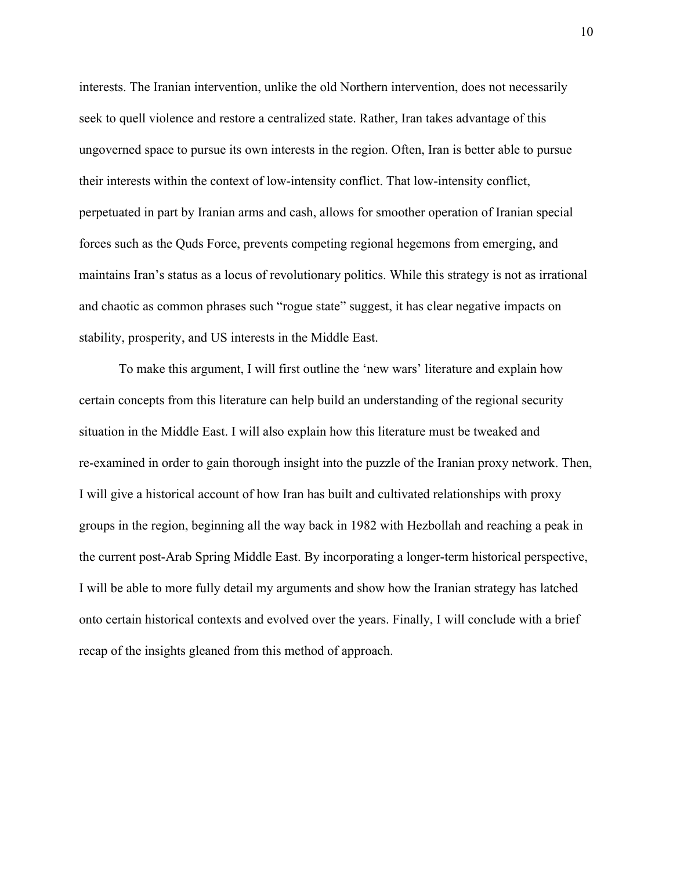interests. The Iranian intervention, unlike the old Northern intervention, does not necessarily seek to quell violence and restore a centralized state. Rather, Iran takes advantage of this ungoverned space to pursue its own interests in the region. Often, Iran is better able to pursue their interests within the context of low-intensity conflict. That low-intensity conflict, perpetuated in part by Iranian arms and cash, allows for smoother operation of Iranian special forces such as the Quds Force, prevents competing regional hegemons from emerging, and maintains Iran's status as a locus of revolutionary politics. While this strategy is not as irrational and chaotic as common phrases such "rogue state" suggest, it has clear negative impacts on stability, prosperity, and US interests in the Middle East.

To make this argument, I will first outline the 'new wars' literature and explain how certain concepts from this literature can help build an understanding of the regional security situation in the Middle East. I will also explain how this literature must be tweaked and re-examined in order to gain thorough insight into the puzzle of the Iranian proxy network. Then, I will give a historical account of how Iran has built and cultivated relationships with proxy groups in the region, beginning all the way back in 1982 with Hezbollah and reaching a peak in the current post-Arab Spring Middle East. By incorporating a longer-term historical perspective, I will be able to more fully detail my arguments and show how the Iranian strategy has latched onto certain historical contexts and evolved over the years. Finally, I will conclude with a brief recap of the insights gleaned from this method of approach.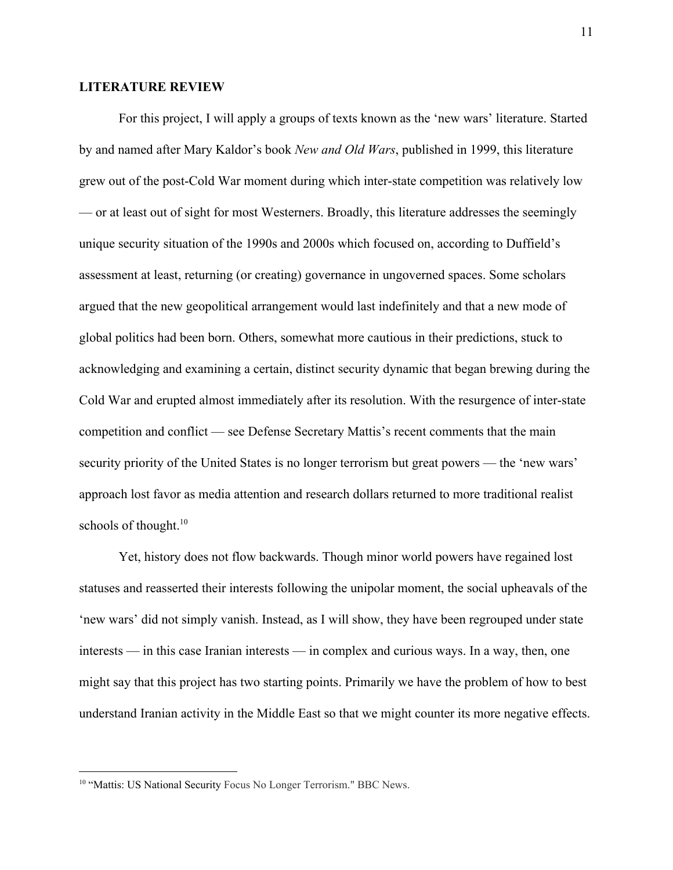#### **LITERATURE REVIEW**

For this project, I will apply a groups of texts known as the 'new wars' literature. Started by and named after Mary Kaldor's book *New and Old Wars*, published in 1999, this literature grew out of the post-Cold War moment during which inter-state competition was relatively low — or at least out of sight for most Westerners. Broadly, this literature addresses the seemingly unique security situation of the 1990s and 2000s which focused on, according to Duffield's assessment at least, returning (or creating) governance in ungoverned spaces. Some scholars argued that the new geopolitical arrangement would last indefinitely and that a new mode of global politics had been born. Others, somewhat more cautious in their predictions, stuck to acknowledging and examining a certain, distinct security dynamic that began brewing during the Cold War and erupted almost immediately after its resolution. With the resurgence of inter-state competition and conflict — see Defense Secretary Mattis's recent comments that the main security priority of the United States is no longer terrorism but great powers — the 'new wars' approach lost favor as media attention and research dollars returned to more traditional realist schools of thought.<sup>10</sup>

Yet, history does not flow backwards. Though minor world powers have regained lost statuses and reasserted their interests following the unipolar moment, the social upheavals of the 'new wars' did not simply vanish. Instead, as I will show, they have been regrouped under state interests — in this case Iranian interests — in complex and curious ways. In a way, then, one might say that this project has two starting points. Primarily we have the problem of how to best understand Iranian activity in the Middle East so that we might counter its more negative effects.

<sup>&</sup>lt;sup>10</sup> "Mattis: US National Security Focus No Longer Terrorism." BBC News.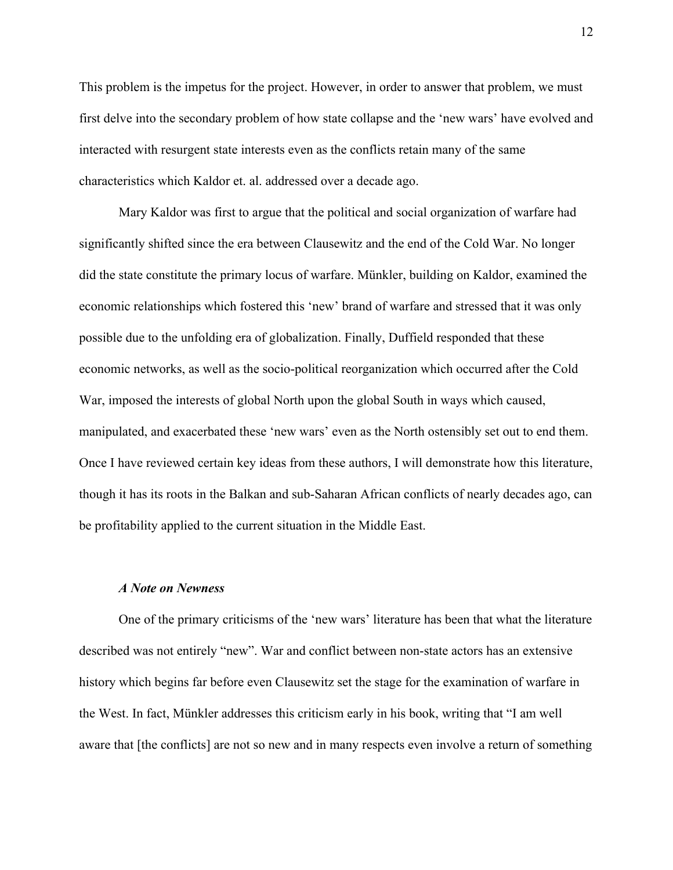This problem is the impetus for the project. However, in order to answer that problem, we must first delve into the secondary problem of how state collapse and the 'new wars' have evolved and interacted with resurgent state interests even as the conflicts retain many of the same characteristics which Kaldor et. al. addressed over a decade ago.

Mary Kaldor was first to argue that the political and social organization of warfare had significantly shifted since the era between Clausewitz and the end of the Cold War. No longer did the state constitute the primary locus of warfare. Münkler, building on Kaldor, examined the economic relationships which fostered this 'new' brand of warfare and stressed that it was only possible due to the unfolding era of globalization. Finally, Duffield responded that these economic networks, as well as the socio-political reorganization which occurred after the Cold War, imposed the interests of global North upon the global South in ways which caused, manipulated, and exacerbated these 'new wars' even as the North ostensibly set out to end them. Once I have reviewed certain key ideas from these authors, I will demonstrate how this literature, though it has its roots in the Balkan and sub-Saharan African conflicts of nearly decades ago, can be profitability applied to the current situation in the Middle East.

#### *A Note on Newness*

One of the primary criticisms of the 'new wars' literature has been that what the literature described was not entirely "new". War and conflict between non-state actors has an extensive history which begins far before even Clausewitz set the stage for the examination of warfare in the West. In fact, Münkler addresses this criticism early in his book, writing that "I am well aware that [the conflicts] are not so new and in many respects even involve a return of something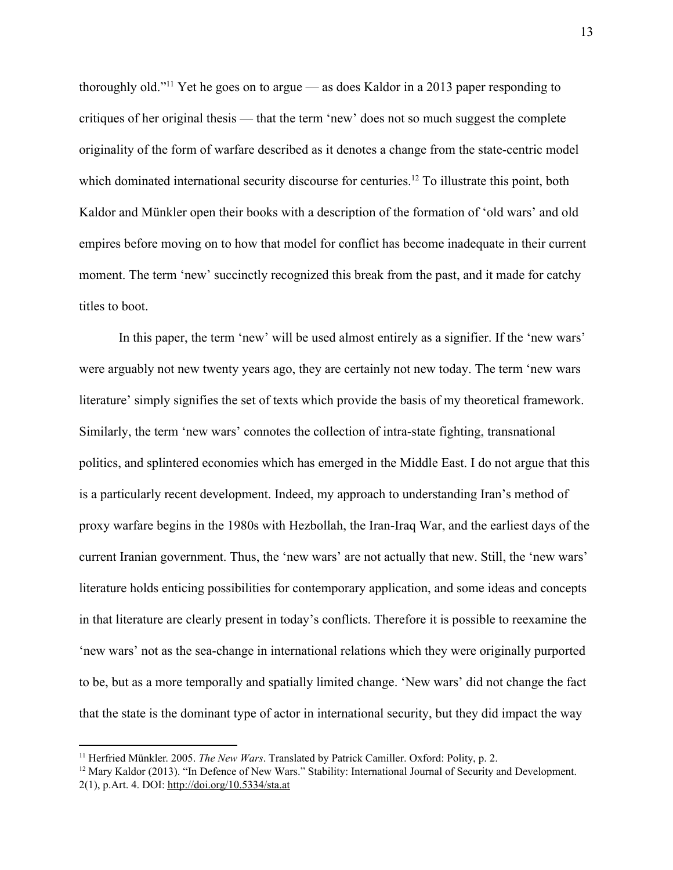thoroughly old."<sup>11</sup> Yet he goes on to argue — as does Kaldor in a 2013 paper responding to critiques of her original thesis — that the term 'new' does not so much suggest the complete originality of the form of warfare described as it denotes a change from the state-centric model which dominated international security discourse for centuries.<sup>12</sup> To illustrate this point, both Kaldor and Münkler open their books with a description of the formation of 'old wars' and old empires before moving on to how that model for conflict has become inadequate in their current moment. The term 'new' succinctly recognized this break from the past, and it made for catchy titles to boot.

In this paper, the term 'new' will be used almost entirely as a signifier. If the 'new wars' were arguably not new twenty years ago, they are certainly not new today. The term 'new wars literature' simply signifies the set of texts which provide the basis of my theoretical framework. Similarly, the term 'new wars' connotes the collection of intra-state fighting, transnational politics, and splintered economies which has emerged in the Middle East. I do not argue that this is a particularly recent development. Indeed, my approach to understanding Iran's method of proxy warfare begins in the 1980s with Hezbollah, the Iran-Iraq War, and the earliest days of the current Iranian government. Thus, the 'new wars' are not actually that new. Still, the 'new wars' literature holds enticing possibilities for contemporary application, and some ideas and concepts in that literature are clearly present in today's conflicts. Therefore it is possible to reexamine the 'new wars' not as the sea-change in international relations which they were originally purported to be, but as a more temporally and spatially limited change. 'New wars' did not change the fact that the state is the dominant type of actor in international security, but they did impact the way

<sup>11</sup> Herfried Münkler. 2005. *The New Wars*. Translated by Patrick Camiller. Oxford: Polity, p. 2.

<sup>&</sup>lt;sup>12</sup> Mary Kaldor (2013). "In Defence of New Wars." Stability: International Journal of Security and Development. 2(1), p.Art. 4. DOI: <http://doi.org/10.5334/sta.at>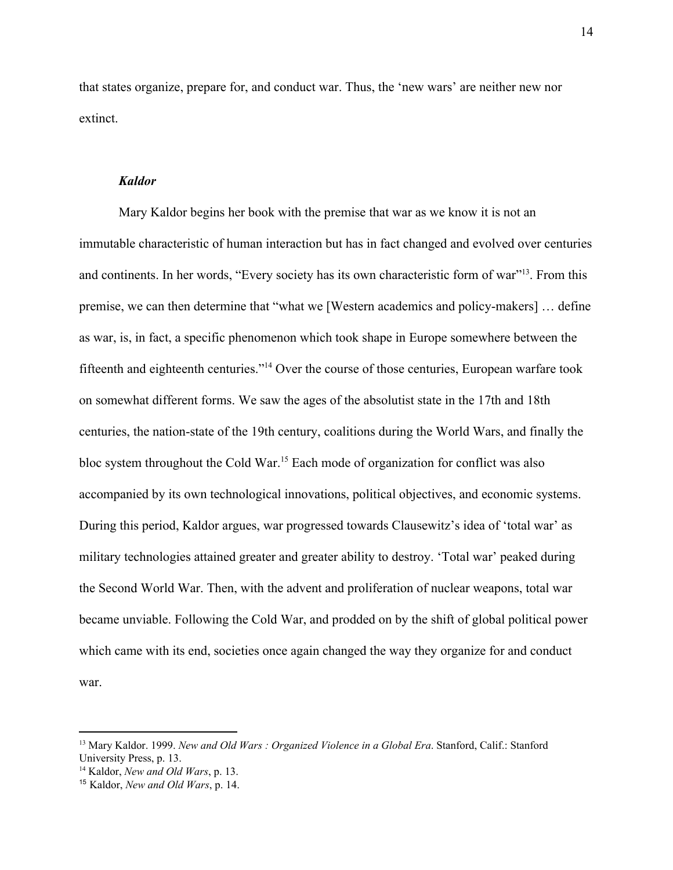that states organize, prepare for, and conduct war. Thus, the 'new wars' are neither new nor extinct.

#### *Kaldor*

Mary Kaldor begins her book with the premise that war as we know it is not an immutable characteristic of human interaction but has in fact changed and evolved over centuries and continents. In her words, "Every society has its own characteristic form of war"<sup>13</sup>. From this premise, we can then determine that "what we [Western academics and policy-makers] … define as war, is, in fact, a specific phenomenon which took shape in Europe somewhere between the fifteenth and eighteenth centuries."<sup>14</sup> Over the course of those centuries, European warfare took on somewhat different forms. We saw the ages of the absolutist state in the 17th and 18th centuries, the nation-state of the 19th century, coalitions during the World Wars, and finally the bloc system throughout the Cold War.<sup>15</sup> Each mode of organization for conflict was also accompanied by its own technological innovations, political objectives, and economic systems. During this period, Kaldor argues, war progressed towards Clausewitz's idea of 'total war' as military technologies attained greater and greater ability to destroy. 'Total war' peaked during the Second World War. Then, with the advent and proliferation of nuclear weapons, total war became unviable. Following the Cold War, and prodded on by the shift of global political power which came with its end, societies once again changed the way they organize for and conduct war.

<sup>13</sup> Mary Kaldor. 1999. *New and Old Wars : Organized Violence in a Global Era*. Stanford, Calif.: Stanford University Press, p. 13.

<sup>14</sup> Kaldor, *New and Old Wars*, p. 13.

<sup>15</sup> Kaldor, *New and Old Wars*, p. 14.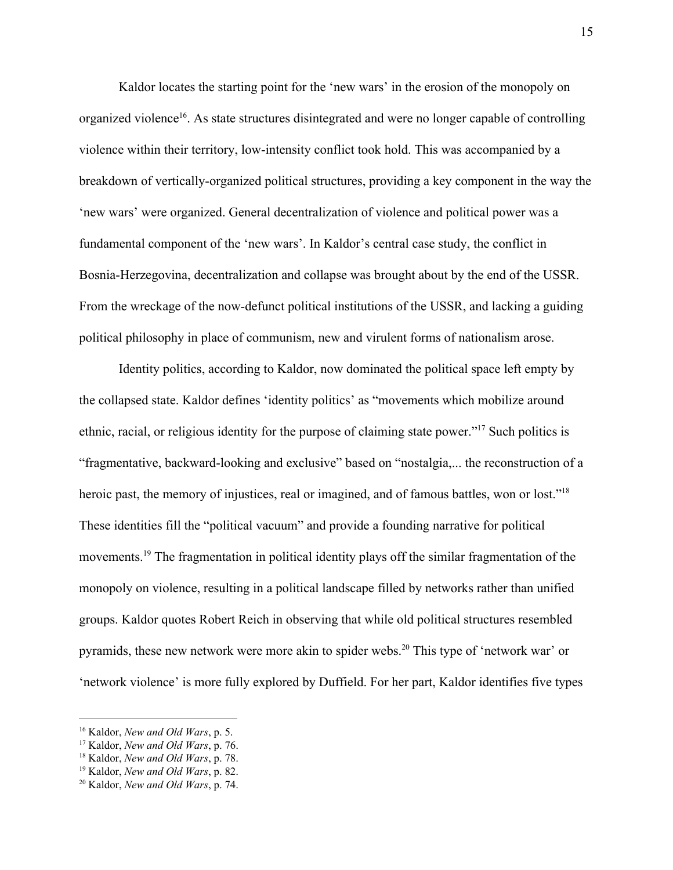Kaldor locates the starting point for the 'new wars' in the erosion of the monopoly on organized violence<sup>16</sup>. As state structures disintegrated and were no longer capable of controlling violence within their territory, low-intensity conflict took hold. This was accompanied by a breakdown of vertically-organized political structures, providing a key component in the way the 'new wars' were organized. General decentralization of violence and political power was a fundamental component of the 'new wars'. In Kaldor's central case study, the conflict in Bosnia-Herzegovina, decentralization and collapse was brought about by the end of the USSR. From the wreckage of the now-defunct political institutions of the USSR, and lacking a guiding political philosophy in place of communism, new and virulent forms of nationalism arose.

Identity politics, according to Kaldor, now dominated the political space left empty by the collapsed state. Kaldor defines 'identity politics' as "movements which mobilize around ethnic, racial, or religious identity for the purpose of claiming state power."<sup>17</sup> Such politics is "fragmentative, backward-looking and exclusive" based on "nostalgia,... the reconstruction of a heroic past, the memory of injustices, real or imagined, and of famous battles, won or lost."<sup>18</sup> These identities fill the "political vacuum" and provide a founding narrative for political movements.<sup>19</sup> The fragmentation in political identity plays off the similar fragmentation of the monopoly on violence, resulting in a political landscape filled by networks rather than unified groups. Kaldor quotes Robert Reich in observing that while old political structures resembled pyramids, these new network were more akin to spider webs.<sup>20</sup> This type of 'network war' or 'network violence' is more fully explored by Duffield. For her part, Kaldor identifies five types

<sup>16</sup> Kaldor, *New and Old Wars*, p. 5.

<sup>17</sup> Kaldor, *New and Old Wars*, p. 76.

<sup>18</sup> Kaldor, *New and Old Wars*, p. 78.

<sup>19</sup> Kaldor, *New and Old Wars*, p. 82.

<sup>20</sup> Kaldor, *New and Old Wars*, p. 74.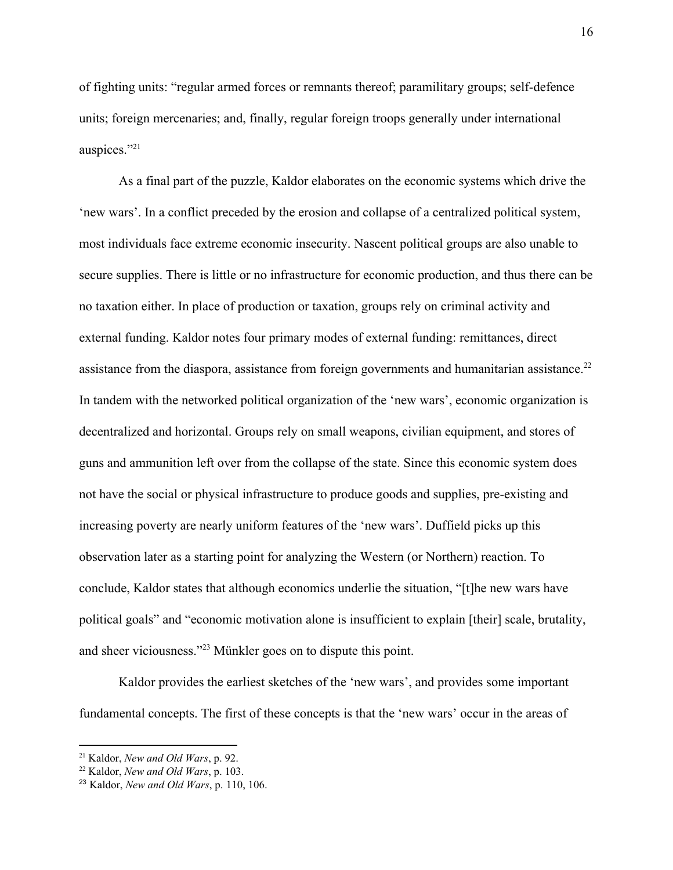of fighting units: "regular armed forces or remnants thereof; paramilitary groups; self-defence units; foreign mercenaries; and, finally, regular foreign troops generally under international auspices."<sup>21</sup>

As a final part of the puzzle, Kaldor elaborates on the economic systems which drive the 'new wars'. In a conflict preceded by the erosion and collapse of a centralized political system, most individuals face extreme economic insecurity. Nascent political groups are also unable to secure supplies. There is little or no infrastructure for economic production, and thus there can be no taxation either. In place of production or taxation, groups rely on criminal activity and external funding. Kaldor notes four primary modes of external funding: remittances, direct assistance from the diaspora, assistance from foreign governments and humanitarian assistance.<sup>22</sup> In tandem with the networked political organization of the 'new wars', economic organization is decentralized and horizontal. Groups rely on small weapons, civilian equipment, and stores of guns and ammunition left over from the collapse of the state. Since this economic system does not have the social or physical infrastructure to produce goods and supplies, pre-existing and increasing poverty are nearly uniform features of the 'new wars'. Duffield picks up this observation later as a starting point for analyzing the Western (or Northern) reaction. To conclude, Kaldor states that although economics underlie the situation, "[t]he new wars have political goals" and "economic motivation alone is insufficient to explain [their] scale, brutality, and sheer viciousness."<sup>23</sup> Münkler goes on to dispute this point.

Kaldor provides the earliest sketches of the 'new wars', and provides some important fundamental concepts. The first of these concepts is that the 'new wars' occur in the areas of

<sup>21</sup> Kaldor, *New and Old Wars*, p. 92.

<sup>22</sup> Kaldor, *New and Old Wars*, p. 103.

<sup>23</sup> Kaldor, *New and Old Wars*, p. 110, 106.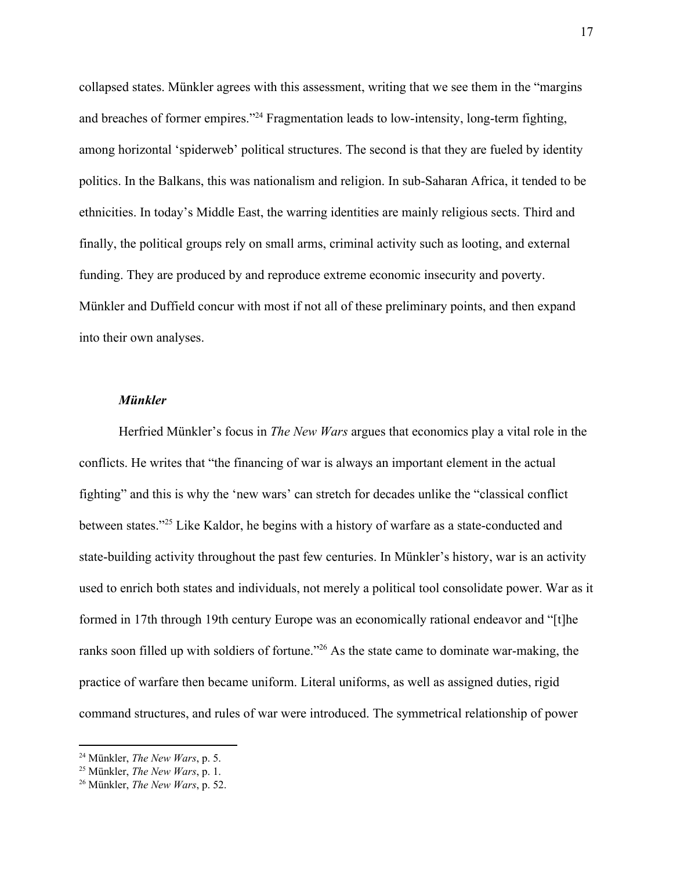collapsed states. Münkler agrees with this assessment, writing that we see them in the "margins and breaches of former empires."<sup>24</sup> Fragmentation leads to low-intensity, long-term fighting, among horizontal 'spiderweb' political structures. The second is that they are fueled by identity politics. In the Balkans, this was nationalism and religion. In sub-Saharan Africa, it tended to be ethnicities. In today's Middle East, the warring identities are mainly religious sects. Third and finally, the political groups rely on small arms, criminal activity such as looting, and external funding. They are produced by and reproduce extreme economic insecurity and poverty. Münkler and Duffield concur with most if not all of these preliminary points, and then expand into their own analyses.

#### *Münkler*

Herfried Münkler's focus in *The New Wars* argues that economics play a vital role in the conflicts. He writes that "the financing of war is always an important element in the actual fighting" and this is why the 'new wars' can stretch for decades unlike the "classical conflict between states."<sup>25</sup> Like Kaldor, he begins with a history of warfare as a state-conducted and state-building activity throughout the past few centuries. In Münkler's history, war is an activity used to enrich both states and individuals, not merely a political tool consolidate power. War as it formed in 17th through 19th century Europe was an economically rational endeavor and "[t]he ranks soon filled up with soldiers of fortune."<sup>26</sup> As the state came to dominate war-making, the practice of warfare then became uniform. Literal uniforms, as well as assigned duties, rigid command structures, and rules of war were introduced. The symmetrical relationship of power

<sup>24</sup> Münkler, *The New Wars*, p. 5.

<sup>25</sup> Münkler, *The New Wars*, p. 1.

<sup>26</sup> Münkler, *The New Wars*, p. 52.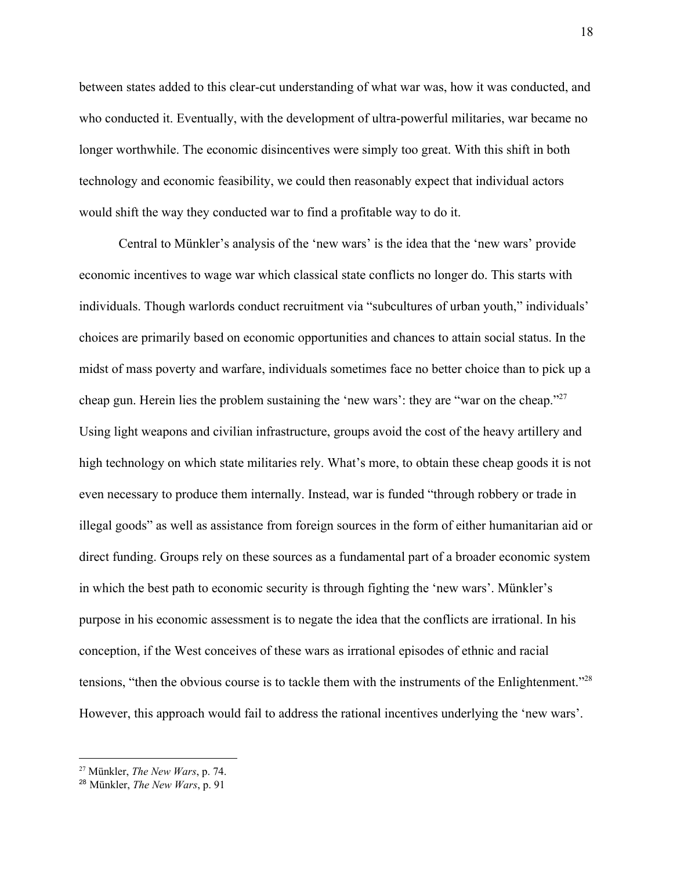between states added to this clear-cut understanding of what war was, how it was conducted, and who conducted it. Eventually, with the development of ultra-powerful militaries, war became no longer worthwhile. The economic disincentives were simply too great. With this shift in both technology and economic feasibility, we could then reasonably expect that individual actors would shift the way they conducted war to find a profitable way to do it.

Central to Münkler's analysis of the 'new wars' is the idea that the 'new wars' provide economic incentives to wage war which classical state conflicts no longer do. This starts with individuals. Though warlords conduct recruitment via "subcultures of urban youth," individuals' choices are primarily based on economic opportunities and chances to attain social status. In the midst of mass poverty and warfare, individuals sometimes face no better choice than to pick up a cheap gun. Herein lies the problem sustaining the 'new wars': they are "war on the cheap."<sup>27</sup> Using light weapons and civilian infrastructure, groups avoid the cost of the heavy artillery and high technology on which state militaries rely. What's more, to obtain these cheap goods it is not even necessary to produce them internally. Instead, war is funded "through robbery or trade in illegal goods" as well as assistance from foreign sources in the form of either humanitarian aid or direct funding. Groups rely on these sources as a fundamental part of a broader economic system in which the best path to economic security is through fighting the 'new wars'. Münkler's purpose in his economic assessment is to negate the idea that the conflicts are irrational. In his conception, if the West conceives of these wars as irrational episodes of ethnic and racial tensions, "then the obvious course is to tackle them with the instruments of the Enlightenment."<sup>28</sup> However, this approach would fail to address the rational incentives underlying the 'new wars'.

<sup>27</sup> Münkler, *The New Wars*, p. 74.

<sup>28</sup> Münkler, *The New Wars*, p. 91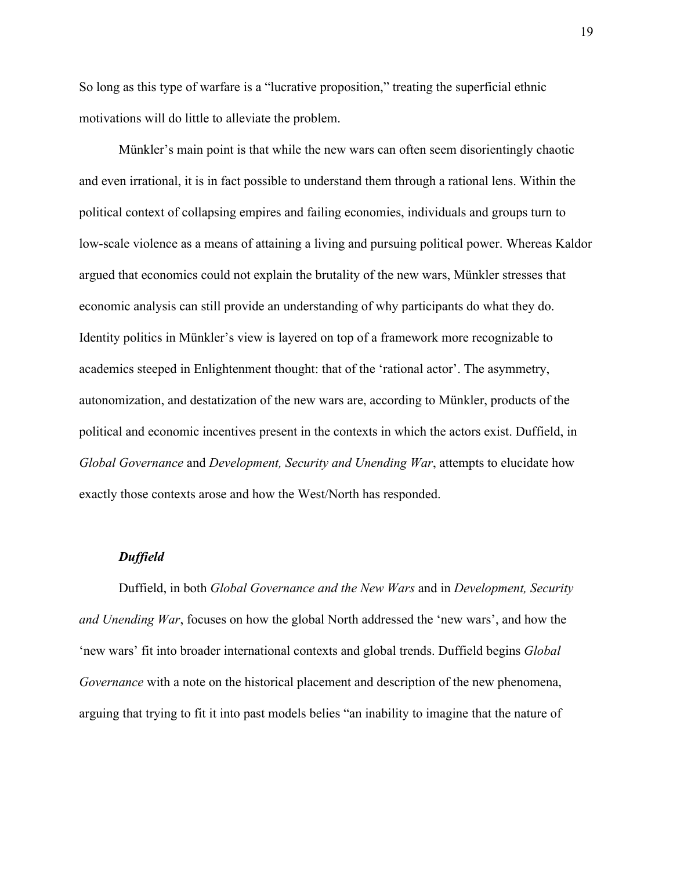So long as this type of warfare is a "lucrative proposition," treating the superficial ethnic motivations will do little to alleviate the problem.

Münkler's main point is that while the new wars can often seem disorientingly chaotic and even irrational, it is in fact possible to understand them through a rational lens. Within the political context of collapsing empires and failing economies, individuals and groups turn to low-scale violence as a means of attaining a living and pursuing political power. Whereas Kaldor argued that economics could not explain the brutality of the new wars, Münkler stresses that economic analysis can still provide an understanding of why participants do what they do. Identity politics in Münkler's view is layered on top of a framework more recognizable to academics steeped in Enlightenment thought: that of the 'rational actor'. The asymmetry, autonomization, and destatization of the new wars are, according to Münkler, products of the political and economic incentives present in the contexts in which the actors exist. Duffield, in *Global Governance* and *Development, Security and Unending War*, attempts to elucidate how exactly those contexts arose and how the West/North has responded.

#### *Duffield*

Duffield, in both *Global Governance and the New Wars* and in *Development, Security and Unending War*, focuses on how the global North addressed the 'new wars', and how the 'new wars' fit into broader international contexts and global trends. Duffield begins *Global Governance* with a note on the historical placement and description of the new phenomena, arguing that trying to fit it into past models belies "an inability to imagine that the nature of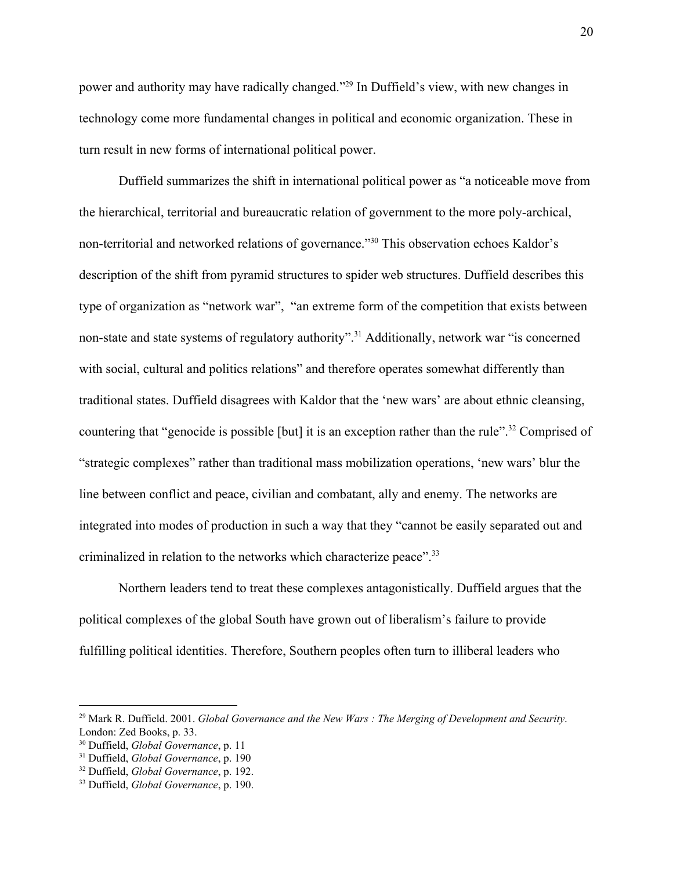power and authority may have radically changed."<sup>29</sup> In Duffield's view, with new changes in technology come more fundamental changes in political and economic organization. These in turn result in new forms of international political power.

Duffield summarizes the shift in international political power as "a noticeable move from the hierarchical, territorial and bureaucratic relation of government to the more poly-archical, non-territorial and networked relations of governance."<sup>30</sup> This observation echoes Kaldor's description of the shift from pyramid structures to spider web structures. Duffield describes this type of organization as "network war", "an extreme form of the competition that exists between non-state and state systems of regulatory authority".<sup>31</sup> Additionally, network war "is concerned with social, cultural and politics relations" and therefore operates somewhat differently than traditional states. Duffield disagrees with Kaldor that the 'new wars' are about ethnic cleansing, countering that "genocide is possible [but] it is an exception rather than the rule".<sup>32</sup> Comprised of "strategic complexes" rather than traditional mass mobilization operations, 'new wars' blur the line between conflict and peace, civilian and combatant, ally and enemy. The networks are integrated into modes of production in such a way that they "cannot be easily separated out and criminalized in relation to the networks which characterize peace".<sup>33</sup>

Northern leaders tend to treat these complexes antagonistically. Duffield argues that the political complexes of the global South have grown out of liberalism's failure to provide fulfilling political identities. Therefore, Southern peoples often turn to illiberal leaders who

<sup>29</sup> Mark R. Duffield. 2001. *Global Governance and the New Wars : The Merging of Development and Security*. London: Zed Books, p. 33.

<sup>30</sup> Duffield, *Global Governance*, p. 11

<sup>31</sup> Duffield, *Global Governance*, p. 190

<sup>32</sup> Duffield, *Global Governance*, p. 192.

<sup>33</sup> Duffield, *Global Governance*, p. 190.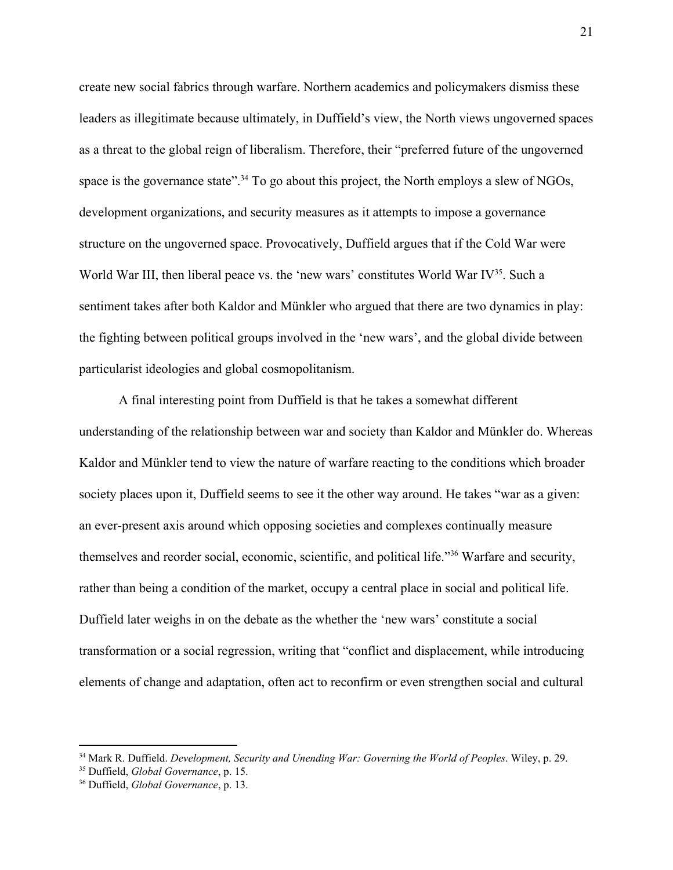create new social fabrics through warfare. Northern academics and policymakers dismiss these leaders as illegitimate because ultimately, in Duffield's view, the North views ungoverned spaces as a threat to the global reign of liberalism. Therefore, their "preferred future of the ungoverned space is the governance state".<sup>34</sup> To go about this project, the North employs a slew of NGOs, development organizations, and security measures as it attempts to impose a governance structure on the ungoverned space. Provocatively, Duffield argues that if the Cold War were World War III, then liberal peace vs. the 'new wars' constitutes World War IV $35$ . Such a sentiment takes after both Kaldor and Münkler who argued that there are two dynamics in play: the fighting between political groups involved in the 'new wars', and the global divide between particularist ideologies and global cosmopolitanism.

A final interesting point from Duffield is that he takes a somewhat different understanding of the relationship between war and society than Kaldor and Münkler do. Whereas Kaldor and Münkler tend to view the nature of warfare reacting to the conditions which broader society places upon it, Duffield seems to see it the other way around. He takes "war as a given: an ever-present axis around which opposing societies and complexes continually measure themselves and reorder social, economic, scientific, and political life."<sup>36</sup> Warfare and security, rather than being a condition of the market, occupy a central place in social and political life. Duffield later weighs in on the debate as the whether the 'new wars' constitute a social transformation or a social regression, writing that "conflict and displacement, while introducing elements of change and adaptation, often act to reconfirm or even strengthen social and cultural

<sup>34</sup> Mark R. Duffield. *Development, Security and Unending War: Governing the World of Peoples*. Wiley, p. 29.

<sup>35</sup> Duffield, *Global Governance*, p. 15.

<sup>36</sup> Duffield, *Global Governance*, p. 13.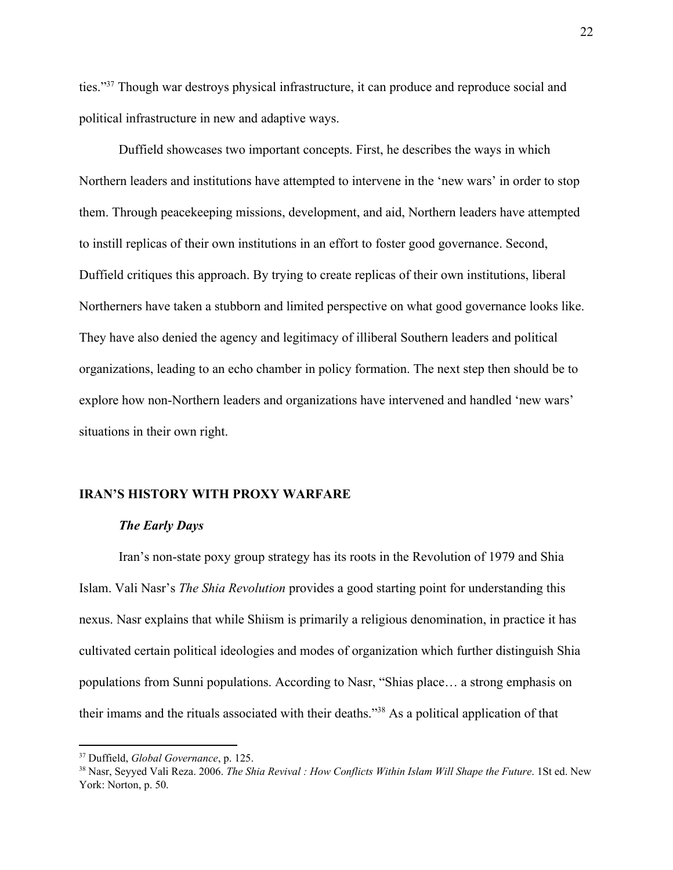ties."<sup>37</sup> Though war destroys physical infrastructure, it can produce and reproduce social and political infrastructure in new and adaptive ways.

Duffield showcases two important concepts. First, he describes the ways in which Northern leaders and institutions have attempted to intervene in the 'new wars' in order to stop them. Through peacekeeping missions, development, and aid, Northern leaders have attempted to instill replicas of their own institutions in an effort to foster good governance. Second, Duffield critiques this approach. By trying to create replicas of their own institutions, liberal Northerners have taken a stubborn and limited perspective on what good governance looks like. They have also denied the agency and legitimacy of illiberal Southern leaders and political organizations, leading to an echo chamber in policy formation. The next step then should be to explore how non-Northern leaders and organizations have intervened and handled 'new wars' situations in their own right.

#### **IRAN'S HISTORY WITH PROXY WARFARE**

#### *The Early Days*

Iran's non-state poxy group strategy has its roots in the Revolution of 1979 and Shia Islam. Vali Nasr's *The Shia Revolution* provides a good starting point for understanding this nexus. Nasr explains that while Shiism is primarily a religious denomination, in practice it has cultivated certain political ideologies and modes of organization which further distinguish Shia populations from Sunni populations. According to Nasr, "Shias place… a strong emphasis on their imams and the rituals associated with their deaths."<sup>38</sup> As a political application of that

<sup>37</sup> Duffield, *Global Governance*, p. 125.

<sup>38</sup> Nasr, Seyyed Vali Reza. 2006. *The Shia Revival : How Conflicts Within Islam Will Shape the Future*. 1St ed. New York: Norton, p. 50.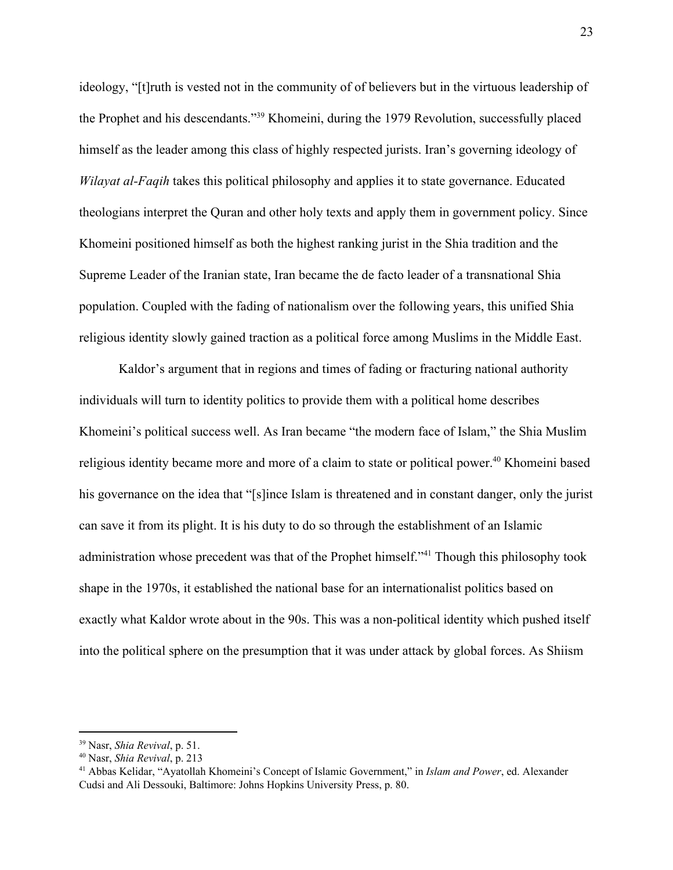ideology, "[t]ruth is vested not in the community of of believers but in the virtuous leadership of the Prophet and his descendants."<sup>39</sup> Khomeini, during the 1979 Revolution, successfully placed himself as the leader among this class of highly respected jurists. Iran's governing ideology of *Wilayat al-Faqih* takes this political philosophy and applies it to state governance. Educated theologians interpret the Quran and other holy texts and apply them in government policy. Since Khomeini positioned himself as both the highest ranking jurist in the Shia tradition and the Supreme Leader of the Iranian state, Iran became the de facto leader of a transnational Shia population. Coupled with the fading of nationalism over the following years, this unified Shia religious identity slowly gained traction as a political force among Muslims in the Middle East.

Kaldor's argument that in regions and times of fading or fracturing national authority individuals will turn to identity politics to provide them with a political home describes Khomeini's political success well. As Iran became "the modern face of Islam," the Shia Muslim religious identity became more and more of a claim to state or political power.<sup>40</sup> Khomeini based his governance on the idea that "[s]ince Islam is threatened and in constant danger, only the jurist can save it from its plight. It is his duty to do so through the establishment of an Islamic administration whose precedent was that of the Prophet himself."<sup>41</sup> Though this philosophy took shape in the 1970s, it established the national base for an internationalist politics based on exactly what Kaldor wrote about in the 90s. This was a non-political identity which pushed itself into the political sphere on the presumption that it was under attack by global forces. As Shiism

<sup>39</sup> Nasr, *Shia Revival*, p. 51.

<sup>40</sup> Nasr, *Shia Revival*, p. 213

<sup>41</sup> Abbas Kelidar, "Ayatollah Khomeini's Concept of Islamic Government," in *Islam and Power*, ed. Alexander Cudsi and Ali Dessouki, Baltimore: Johns Hopkins University Press, p. 80.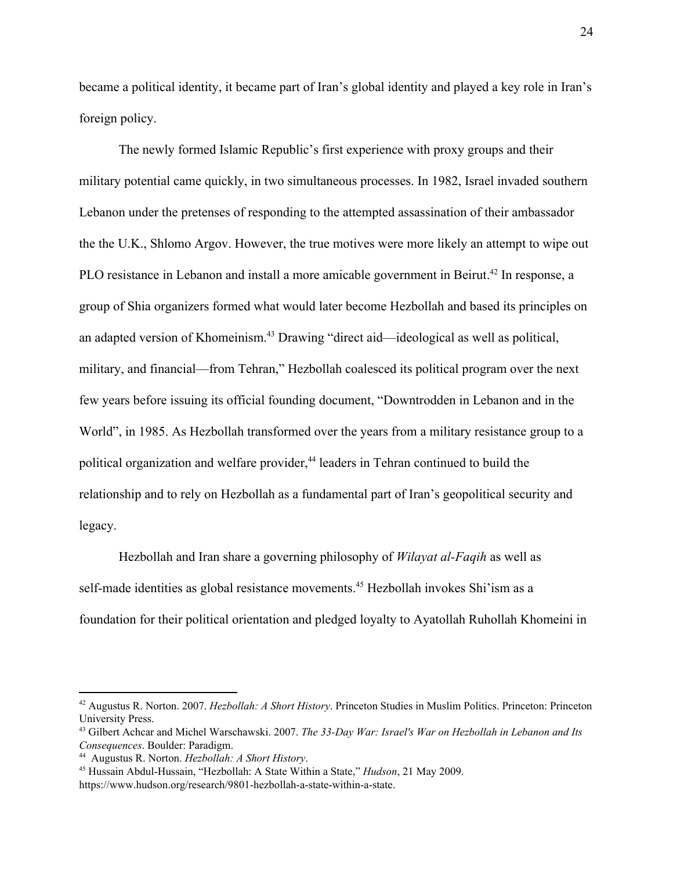became a political identity, it became part of Iran's global identity and played a key role in Iran's foreign policy.

The newly formed Islamic Republic's first experience with proxy groups and their military potential came quickly, in two simultaneous processes. In 1982, Israel invaded southern Lebanon under the pretenses of responding to the attempted assassination of their ambassador the the U.K., Shlomo Argov. However, the true motives were more likely an attempt to wipe out PLO resistance in Lebanon and install a more amicable government in Beirut.<sup>42</sup> In response, a group of Shia organizers formed what would later become Hezbollah and based its principles on an adapted version of Khomeinism.<sup>43</sup> Drawing "direct aid—ideological as well as political, military, and financial—from Tehran," Hezbollah coalesced its political program over the next few years before issuing its official founding document, "Downtrodden in Lebanon and in the World", in 1985. As Hezbollah transformed over the years from a military resistance group to a political organization and welfare provider,<sup>44</sup> leaders in Tehran continued to build the relationship and to rely on Hezbollah as a fundamental part of Iran's geopolitical security and legacy.

Hezbollah and Iran share a governing philosophy of *Wilayat al-Faqih* as well as self-made identities as global resistance movements.<sup>45</sup> Hezbollah invokes Shi'ism as a foundation for their political orientation and pledged loyalty to Ayatollah Ruhollah Khomeini in

<sup>42</sup> Augustus R. Norton. 2007. *Hezbollah: A Short History*. Princeton Studies in Muslim Politics. Princeton: Princeton University Press.

<sup>43</sup> Gilbert Achcar and Michel Warschawski. 2007. *The 33-Day War: Israel's War on Hezbollah in Lebanon and Its Consequences*. Boulder: Paradigm.

<sup>44</sup> Augustus R. Norton. *Hezbollah: A Short History*.

<sup>45</sup> Hussain Abdul-Hussain, "Hezbollah: A State Within a State," *Hudson*, 21 May 2009. https://www.hudson.org/research/9801-hezbollah-a-state-within-a-state.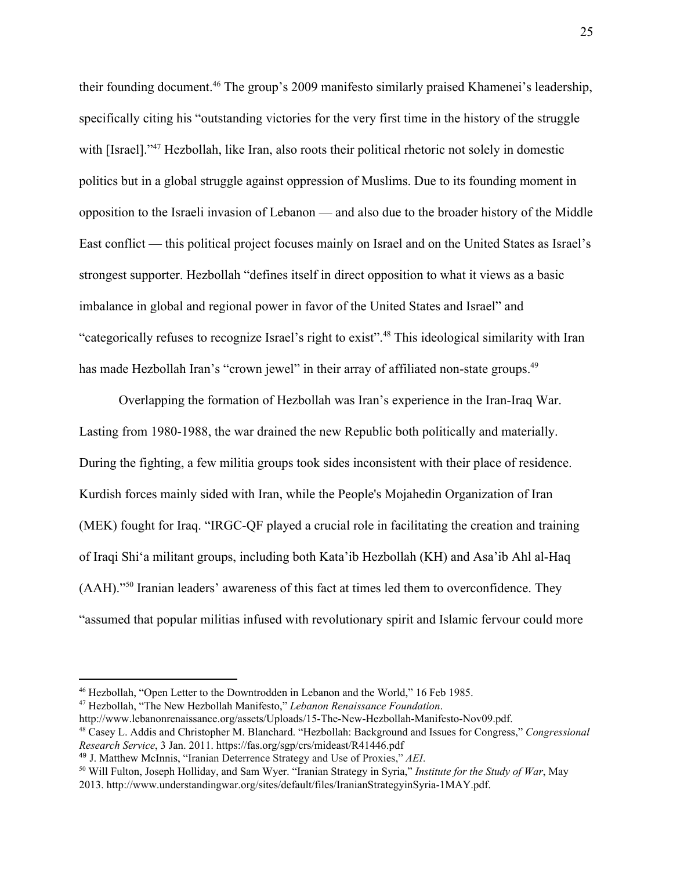their founding document.<sup>46</sup> The group's 2009 manifesto similarly praised Khamenei's leadership, specifically citing his "outstanding victories for the very first time in the history of the struggle with [Israel]."<sup>47</sup> Hezbollah, like Iran, also roots their political rhetoric not solely in domestic politics but in a global struggle against oppression of Muslims. Due to its founding moment in opposition to the Israeli invasion of Lebanon — and also due to the broader history of the Middle East conflict — this political project focuses mainly on Israel and on the United States as Israel's strongest supporter. Hezbollah "defines itself in direct opposition to what it views as a basic imbalance in global and regional power in favor of the United States and Israel" and "categorically refuses to recognize Israel's right to exist".<sup>48</sup> This ideological similarity with Iran has made Hezbollah Iran's "crown jewel" in their array of affiliated non-state groups.<sup>49</sup>

Overlapping the formation of Hezbollah was Iran's experience in the Iran-Iraq War. Lasting from 1980-1988, the war drained the new Republic both politically and materially. During the fighting, a few militia groups took sides inconsistent with their place of residence. Kurdish forces mainly sided with Iran, while the People's Mojahedin Organization of Iran (MEK) fought for Iraq. "IRGC-QF played a crucial role in facilitating the creation and training of Iraqi Shi'a militant groups, including both Kata'ib Hezbollah (KH) and Asa'ib Ahl al-Haq (AAH)."<sup>50</sup> Iranian leaders' awareness of this fact at times led them to overconfidence. They "assumed that popular militias infused with revolutionary spirit and Islamic fervour could more

<sup>46</sup> Hezbollah, "Open Letter to the Downtrodden in Lebanon and the World," 16 Feb 1985.

<sup>47</sup> Hezbollah, "The New Hezbollah Manifesto," *Lebanon Renaissance Foundation*.

http://www.lebanonrenaissance.org/assets/Uploads/15-The-New-Hezbollah-Manifesto-Nov09.pdf.

<sup>48</sup> Casey L. Addis and Christopher M. Blanchard. "Hezbollah: Background and Issues for Congress," *Congressional Research Service*, 3 Jan. 2011. https://fas.org/sgp/crs/mideast/R41446.pdf

<sup>49</sup> J. Matthew McInnis, "Iranian Deterrence Strategy and Use of Proxies," *AEI*.

<sup>50</sup> Will Fulton, Joseph Holliday, and Sam Wyer. "Iranian Strategy in Syria," *Institute for the Study of War*, May 2013. http://www.understandingwar.org/sites/default/files/IranianStrategyinSyria-1MAY.pdf.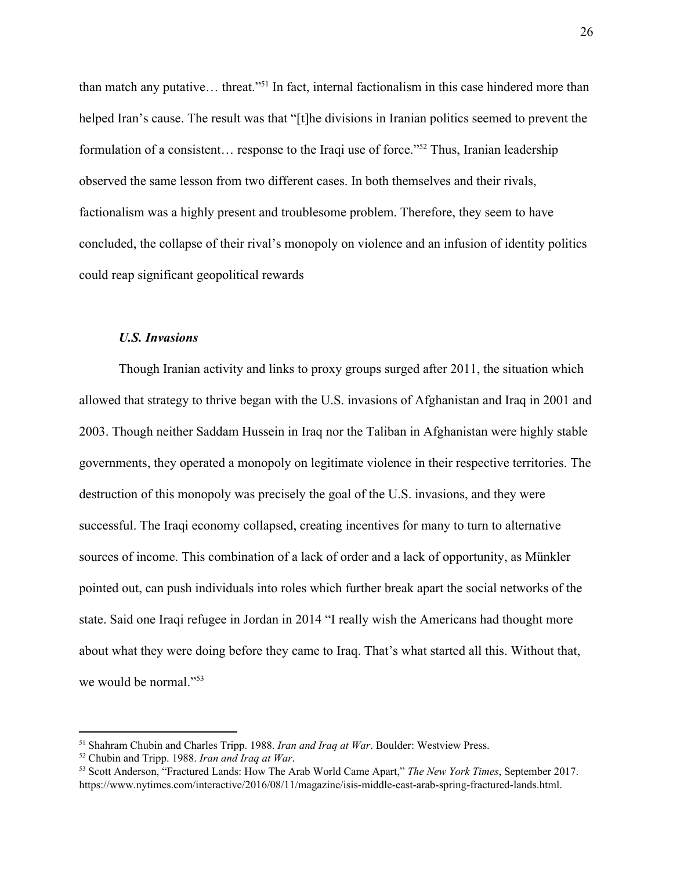than match any putative... threat."<sup>51</sup> In fact, internal factionalism in this case hindered more than helped Iran's cause. The result was that "[t]he divisions in Iranian politics seemed to prevent the formulation of a consistent... response to the Iraqi use of force."<sup>52</sup> Thus, Iranian leadership observed the same lesson from two different cases. In both themselves and their rivals, factionalism was a highly present and troublesome problem. Therefore, they seem to have concluded, the collapse of their rival's monopoly on violence and an infusion of identity politics could reap significant geopolitical rewards

#### *U.S. Invasions*

Though Iranian activity and links to proxy groups surged after 2011, the situation which allowed that strategy to thrive began with the U.S. invasions of Afghanistan and Iraq in 2001 and 2003. Though neither Saddam Hussein in Iraq nor the Taliban in Afghanistan were highly stable governments, they operated a monopoly on legitimate violence in their respective territories. The destruction of this monopoly was precisely the goal of the U.S. invasions, and they were successful. The Iraqi economy collapsed, creating incentives for many to turn to alternative sources of income. This combination of a lack of order and a lack of opportunity, as Münkler pointed out, can push individuals into roles which further break apart the social networks of the state. Said one Iraqi refugee in Jordan in 2014 "I really wish the Americans had thought more about what they were doing before they came to Iraq. That's what started all this. Without that, we would be normal."<sup>53</sup>

<sup>51</sup> Shahram Chubin and Charles Tripp. 1988. *Iran and Iraq at War*. Boulder: Westview Press.

<sup>52</sup> Chubin and Tripp. 1988. *Iran and Iraq at War*.

<sup>53</sup> Scott Anderson, "Fractured Lands: How The Arab World Came Apart," *The New York Times*, September 2017. https://www.nytimes.com/interactive/2016/08/11/magazine/isis-middle-east-arab-spring-fractured-lands.html.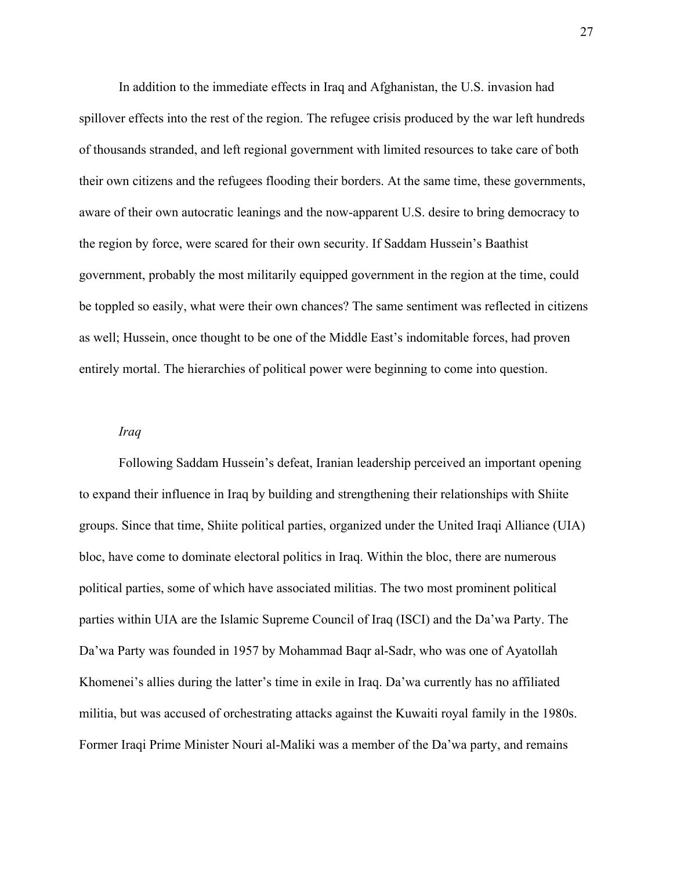In addition to the immediate effects in Iraq and Afghanistan, the U.S. invasion had spillover effects into the rest of the region. The refugee crisis produced by the war left hundreds of thousands stranded, and left regional government with limited resources to take care of both their own citizens and the refugees flooding their borders. At the same time, these governments, aware of their own autocratic leanings and the now-apparent U.S. desire to bring democracy to the region by force, were scared for their own security. If Saddam Hussein's Baathist government, probably the most militarily equipped government in the region at the time, could be toppled so easily, what were their own chances? The same sentiment was reflected in citizens as well; Hussein, once thought to be one of the Middle East's indomitable forces, had proven entirely mortal. The hierarchies of political power were beginning to come into question.

#### *Iraq*

Following Saddam Hussein's defeat, Iranian leadership perceived an important opening to expand their influence in Iraq by building and strengthening their relationships with Shiite groups. Since that time, Shiite political parties, organized under the United Iraqi Alliance (UIA) bloc, have come to dominate electoral politics in Iraq. Within the bloc, there are numerous political parties, some of which have associated militias. The two most prominent political parties within UIA are the Islamic Supreme Council of Iraq (ISCI) and the Da'wa Party. The Da'wa Party was founded in 1957 by Mohammad Baqr al-Sadr, who was one of Ayatollah Khomenei's allies during the latter's time in exile in Iraq. Da'wa currently has no affiliated militia, but was accused of orchestrating attacks against the Kuwaiti royal family in the 1980s. Former Iraqi Prime Minister Nouri al-Maliki was a member of the Da'wa party, and remains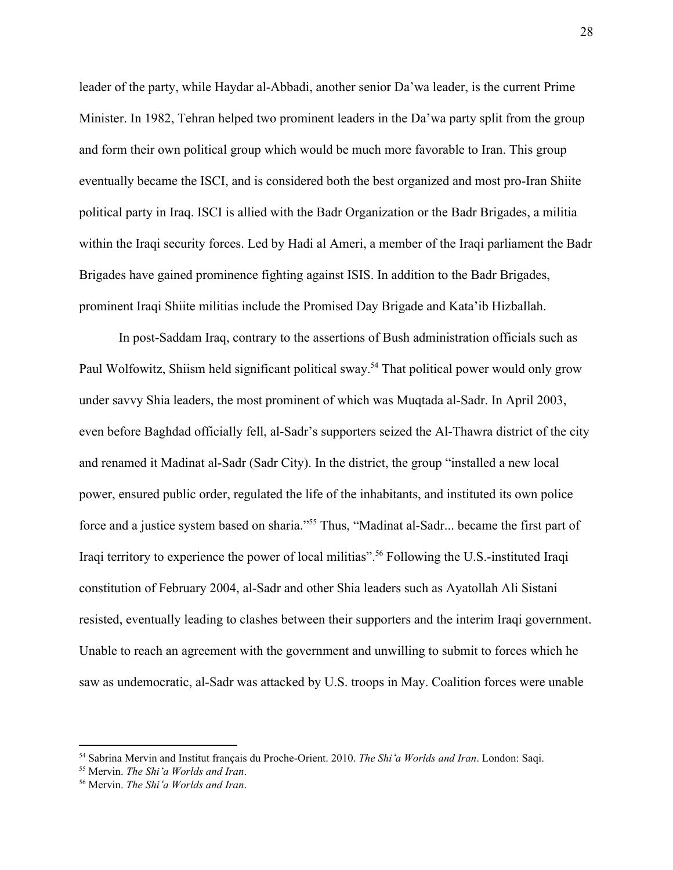leader of the party, while Haydar al-Abbadi, another senior Da'wa leader, is the current Prime Minister. In 1982, Tehran helped two prominent leaders in the Da'wa party split from the group and form their own political group which would be much more favorable to Iran. This group eventually became the ISCI, and is considered both the best organized and most pro-Iran Shiite political party in Iraq. ISCI is allied with the Badr Organization or the Badr Brigades, a militia within the Iraqi security forces. Led by Hadi al Ameri, a member of the Iraqi parliament the Badr Brigades have gained prominence fighting against ISIS. In addition to the Badr Brigades, prominent Iraqi Shiite militias include the Promised Day Brigade and Kata'ib Hizballah.

In post-Saddam Iraq, contrary to the assertions of Bush administration officials such as Paul Wolfowitz, Shiism held significant political sway.<sup>54</sup> That political power would only grow under savvy Shia leaders, the most prominent of which was Muqtada al-Sadr. In April 2003, even before Baghdad officially fell, al-Sadr's supporters seized the Al-Thawra district of the city and renamed it Madinat al-Sadr (Sadr City). In the district, the group "installed a new local power, ensured public order, regulated the life of the inhabitants, and instituted its own police force and a justice system based on sharia."<sup>55</sup> Thus, "Madinat al-Sadr... became the first part of Iraqi territory to experience the power of local militias".<sup>56</sup> Following the U.S.-instituted Iraqi constitution of February 2004, al-Sadr and other Shia leaders such as Ayatollah Ali Sistani resisted, eventually leading to clashes between their supporters and the interim Iraqi government. Unable to reach an agreement with the government and unwilling to submit to forces which he saw as undemocratic, al-Sadr was attacked by U.S. troops in May. Coalition forces were unable

<sup>54</sup> Sabrina Mervin and Institut français du Proche-Orient. 2010. *The Shi*ʻ*a Worlds and Iran*. London: Saqi.

<sup>55</sup> Mervin. *The Shi*ʻ*a Worlds and Iran*.

<sup>56</sup> Mervin. *The Shi*ʻ*a Worlds and Iran*.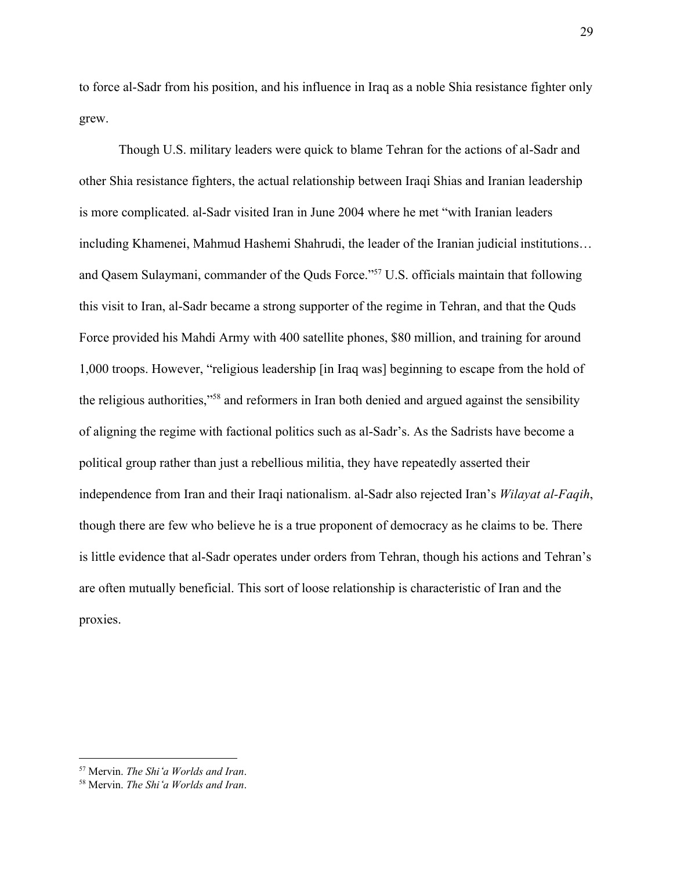to force al-Sadr from his position, and his influence in Iraq as a noble Shia resistance fighter only grew.

Though U.S. military leaders were quick to blame Tehran for the actions of al-Sadr and other Shia resistance fighters, the actual relationship between Iraqi Shias and Iranian leadership is more complicated. al-Sadr visited Iran in June 2004 where he met "with Iranian leaders including Khamenei, Mahmud Hashemi Shahrudi, the leader of the Iranian judicial institutions… and Qasem Sulaymani, commander of the Quds Force."<sup>57</sup> U.S. officials maintain that following this visit to Iran, al-Sadr became a strong supporter of the regime in Tehran, and that the Quds Force provided his Mahdi Army with 400 satellite phones, \$80 million, and training for around 1,000 troops. However, "religious leadership [in Iraq was] beginning to escape from the hold of the religious authorities,"<sup>58</sup> and reformers in Iran both denied and argued against the sensibility of aligning the regime with factional politics such as al-Sadr's. As the Sadrists have become a political group rather than just a rebellious militia, they have repeatedly asserted their independence from Iran and their Iraqi nationalism. al-Sadr also rejected Iran's *Wilayat al-Faqih*, though there are few who believe he is a true proponent of democracy as he claims to be. There is little evidence that al-Sadr operates under orders from Tehran, though his actions and Tehran's are often mutually beneficial. This sort of loose relationship is characteristic of Iran and the proxies.

<sup>57</sup> Mervin. *The Shi*ʻ*a Worlds and Iran*.

<sup>58</sup> Mervin. *The Shi*ʻ*a Worlds and Iran*.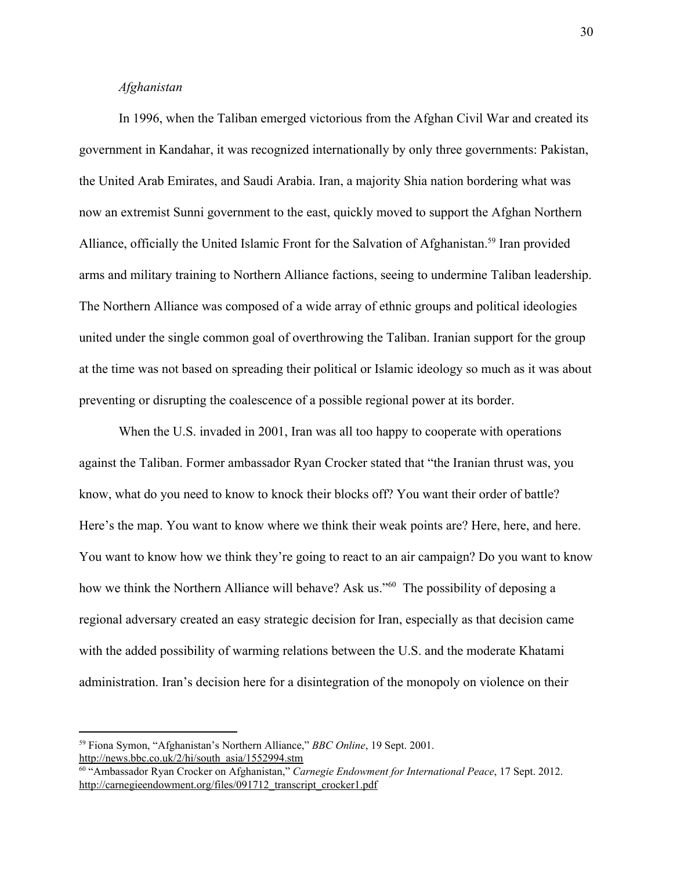#### *Afghanistan*

In 1996, when the Taliban emerged victorious from the Afghan Civil War and created its government in Kandahar, it was recognized internationally by only three governments: Pakistan, the United Arab Emirates, and Saudi Arabia. Iran, a majority Shia nation bordering what was now an extremist Sunni government to the east, quickly moved to support the Afghan Northern Alliance, officially the United Islamic Front for the Salvation of Afghanistan.<sup>59</sup> Iran provided arms and military training to Northern Alliance factions, seeing to undermine Taliban leadership. The Northern Alliance was composed of a wide array of ethnic groups and political ideologies united under the single common goal of overthrowing the Taliban. Iranian support for the group at the time was not based on spreading their political or Islamic ideology so much as it was about preventing or disrupting the coalescence of a possible regional power at its border.

When the U.S. invaded in 2001, Iran was all too happy to cooperate with operations against the Taliban. Former ambassador Ryan Crocker stated that "the Iranian thrust was, you know, what do you need to know to knock their blocks off? You want their order of battle? Here's the map. You want to know where we think their weak points are? Here, here, and here. You want to know how we think they're going to react to an air campaign? Do you want to know how we think the Northern Alliance will behave? Ask us."<sup>60</sup> The possibility of deposing a regional adversary created an easy strategic decision for Iran, especially as that decision came with the added possibility of warming relations between the U.S. and the moderate Khatami administration. Iran's decision here for a disintegration of the monopoly on violence on their

<sup>59</sup> Fiona Symon, "Afghanistan's Northern Alliance," *BBC Online*, 19 Sept. 2001. [http://news.bbc.co.uk/2/hi/south\\_asia/1552994.stm](http://news.bbc.co.uk/2/hi/south_asia/1552994.stm)

<sup>60</sup> "Ambassador Ryan Crocker on Afghanistan," *Carnegie Endowment for International Peace*, 17 Sept. 2012. [http://carnegieendowment.org/files/091712\\_transcript\\_crocker1.pdf](http://carnegieendowment.org/files/091712_transcript_crocker1.pdf)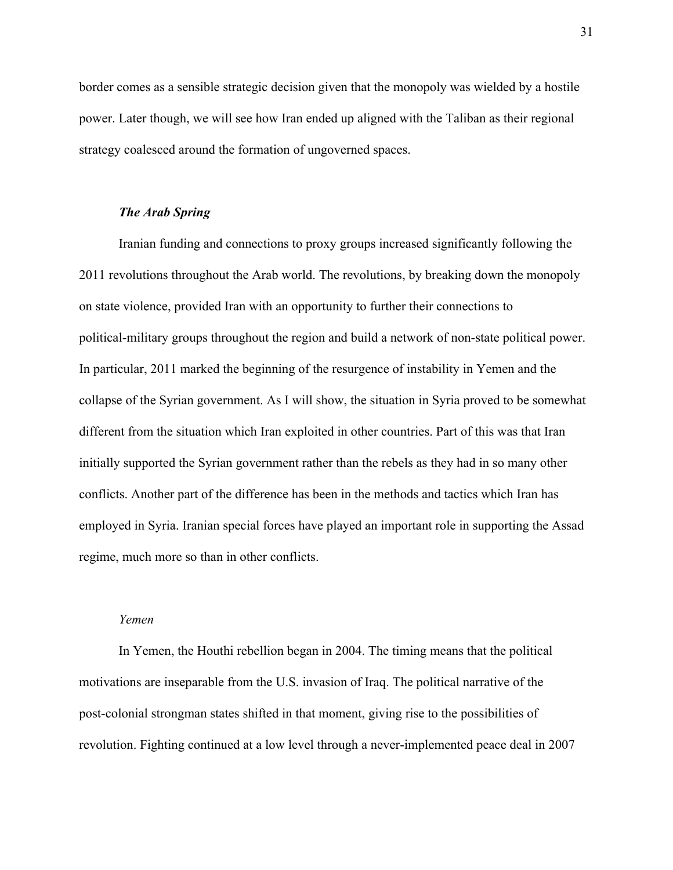border comes as a sensible strategic decision given that the monopoly was wielded by a hostile power. Later though, we will see how Iran ended up aligned with the Taliban as their regional strategy coalesced around the formation of ungoverned spaces.

#### *The Arab Spring*

Iranian funding and connections to proxy groups increased significantly following the 2011 revolutions throughout the Arab world. The revolutions, by breaking down the monopoly on state violence, provided Iran with an opportunity to further their connections to political-military groups throughout the region and build a network of non-state political power. In particular, 2011 marked the beginning of the resurgence of instability in Yemen and the collapse of the Syrian government. As I will show, the situation in Syria proved to be somewhat different from the situation which Iran exploited in other countries. Part of this was that Iran initially supported the Syrian government rather than the rebels as they had in so many other conflicts. Another part of the difference has been in the methods and tactics which Iran has employed in Syria. Iranian special forces have played an important role in supporting the Assad regime, much more so than in other conflicts.

#### *Yemen*

In Yemen, the Houthi rebellion began in 2004. The timing means that the political motivations are inseparable from the U.S. invasion of Iraq. The political narrative of the post-colonial strongman states shifted in that moment, giving rise to the possibilities of revolution. Fighting continued at a low level through a never-implemented peace deal in 2007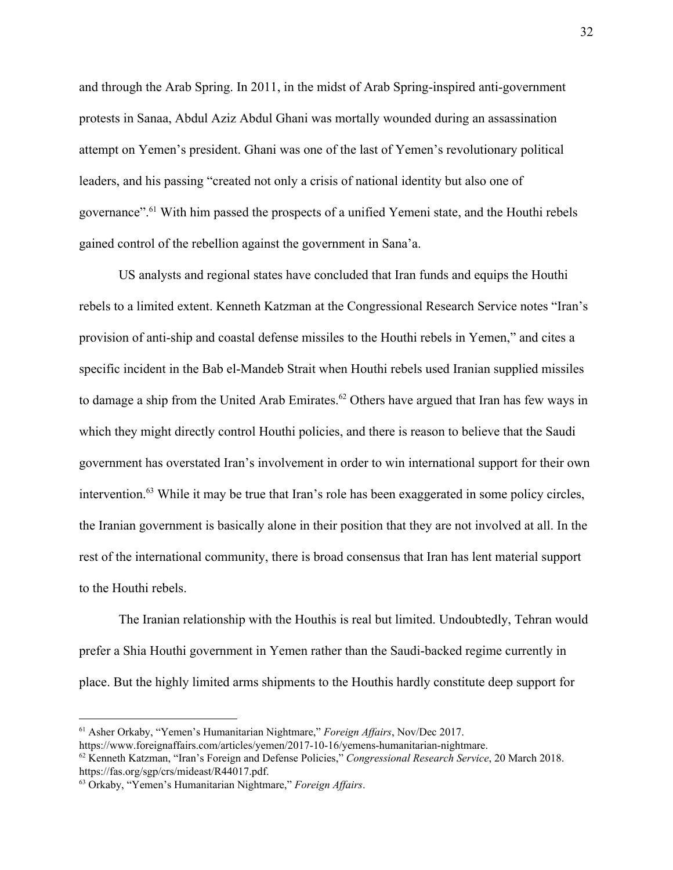and through the Arab Spring. In 2011, in the midst of Arab Spring-inspired anti-government protests in Sanaa, Abdul Aziz Abdul Ghani was mortally wounded during an assassination attempt on Yemen's president. Ghani was one of the last of Yemen's revolutionary political leaders, and his passing "created not only a crisis of national identity but also one of governance".<sup>61</sup> With him passed the prospects of a unified Yemeni state, and the Houthi rebels gained control of the rebellion against the government in Sana'a.

US analysts and regional states have concluded that Iran funds and equips the Houthi rebels to a limited extent. Kenneth Katzman at the Congressional Research Service notes "Iran's provision of anti-ship and coastal defense missiles to the Houthi rebels in Yemen," and cites a specific incident in the Bab el-Mandeb Strait when Houthi rebels used Iranian supplied missiles to damage a ship from the United Arab Emirates.<sup>62</sup> Others have argued that Iran has few ways in which they might directly control Houthi policies, and there is reason to believe that the Saudi government has overstated Iran's involvement in order to win international support for their own intervention.<sup>63</sup> While it may be true that Iran's role has been exaggerated in some policy circles, the Iranian government is basically alone in their position that they are not involved at all. In the rest of the international community, there is broad consensus that Iran has lent material support to the Houthi rebels.

The Iranian relationship with the Houthis is real but limited. Undoubtedly, Tehran would prefer a Shia Houthi government in Yemen rather than the Saudi-backed regime currently in place. But the highly limited arms shipments to the Houthis hardly constitute deep support for

<sup>61</sup> Asher Orkaby, "Yemen's Humanitarian Nightmare," *Foreign Af airs*, Nov/Dec 2017.

https://www.foreignaffairs.com/articles/yemen/2017-10-16/yemens-humanitarian-nightmare.

<sup>62</sup> Kenneth Katzman, "Iran's Foreign and Defense Policies," *Congressional Research Service*, 20 March 2018. https://fas.org/sgp/crs/mideast/R44017.pdf.

<sup>63</sup> Orkaby, "Yemen's Humanitarian Nightmare," *Foreign Af airs*.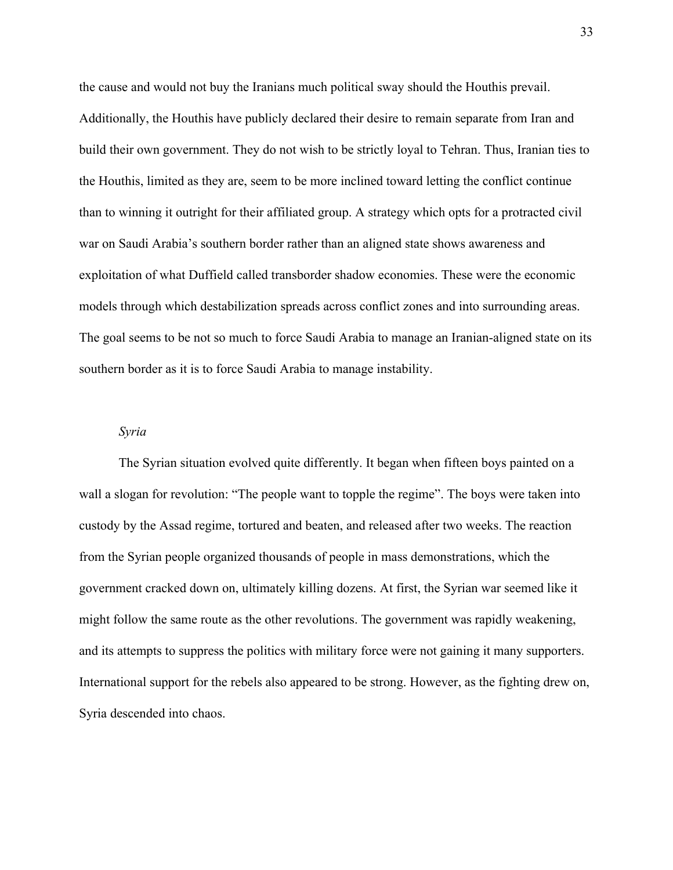the cause and would not buy the Iranians much political sway should the Houthis prevail. Additionally, the Houthis have publicly declared their desire to remain separate from Iran and build their own government. They do not wish to be strictly loyal to Tehran. Thus, Iranian ties to the Houthis, limited as they are, seem to be more inclined toward letting the conflict continue than to winning it outright for their affiliated group. A strategy which opts for a protracted civil war on Saudi Arabia's southern border rather than an aligned state shows awareness and exploitation of what Duffield called transborder shadow economies. These were the economic models through which destabilization spreads across conflict zones and into surrounding areas. The goal seems to be not so much to force Saudi Arabia to manage an Iranian-aligned state on its southern border as it is to force Saudi Arabia to manage instability.

#### *Syria*

The Syrian situation evolved quite differently. It began when fifteen boys painted on a wall a slogan for revolution: "The people want to topple the regime". The boys were taken into custody by the Assad regime, tortured and beaten, and released after two weeks. The reaction from the Syrian people organized thousands of people in mass demonstrations, which the government cracked down on, ultimately killing dozens. At first, the Syrian war seemed like it might follow the same route as the other revolutions. The government was rapidly weakening, and its attempts to suppress the politics with military force were not gaining it many supporters. International support for the rebels also appeared to be strong. However, as the fighting drew on, Syria descended into chaos.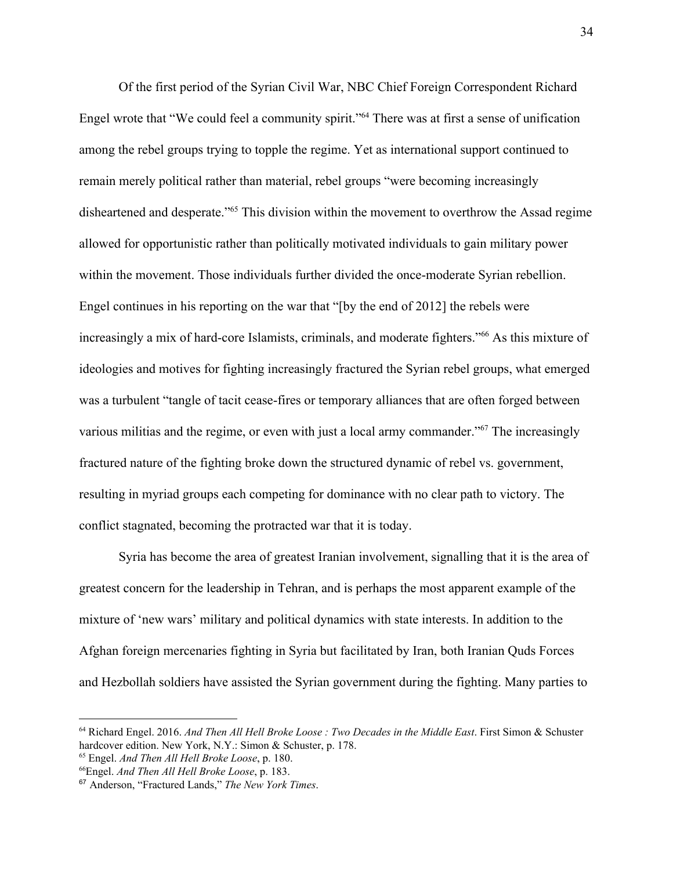Of the first period of the Syrian Civil War, NBC Chief Foreign Correspondent Richard Engel wrote that "We could feel a community spirit."<sup>64</sup> There was at first a sense of unification among the rebel groups trying to topple the regime. Yet as international support continued to remain merely political rather than material, rebel groups "were becoming increasingly disheartened and desperate."<sup>65</sup> This division within the movement to overthrow the Assad regime allowed for opportunistic rather than politically motivated individuals to gain military power within the movement. Those individuals further divided the once-moderate Syrian rebellion. Engel continues in his reporting on the war that "[by the end of 2012] the rebels were increasingly a mix of hard-core Islamists, criminals, and moderate fighters."<sup>66</sup> As this mixture of ideologies and motives for fighting increasingly fractured the Syrian rebel groups, what emerged was a turbulent "tangle of tacit cease-fires or temporary alliances that are often forged between various militias and the regime, or even with just a local army commander." $67$  The increasingly fractured nature of the fighting broke down the structured dynamic of rebel vs. government, resulting in myriad groups each competing for dominance with no clear path to victory. The conflict stagnated, becoming the protracted war that it is today.

Syria has become the area of greatest Iranian involvement, signalling that it is the area of greatest concern for the leadership in Tehran, and is perhaps the most apparent example of the mixture of 'new wars' military and political dynamics with state interests. In addition to the Afghan foreign mercenaries fighting in Syria but facilitated by Iran, both Iranian Quds Forces and Hezbollah soldiers have assisted the Syrian government during the fighting. Many parties to

<sup>64</sup> Richard Engel. 2016. *And Then All Hell Broke Loose : Two Decades in the Middle East*. First Simon & Schuster hardcover edition. New York, N.Y.: Simon & Schuster, p. 178.

<sup>65</sup> Engel. *And Then All Hell Broke Loose*, p. 180.

<sup>66</sup>Engel. *And Then All Hell Broke Loose*, p. 183.

<sup>67</sup> Anderson, "Fractured Lands," *The New York Times*.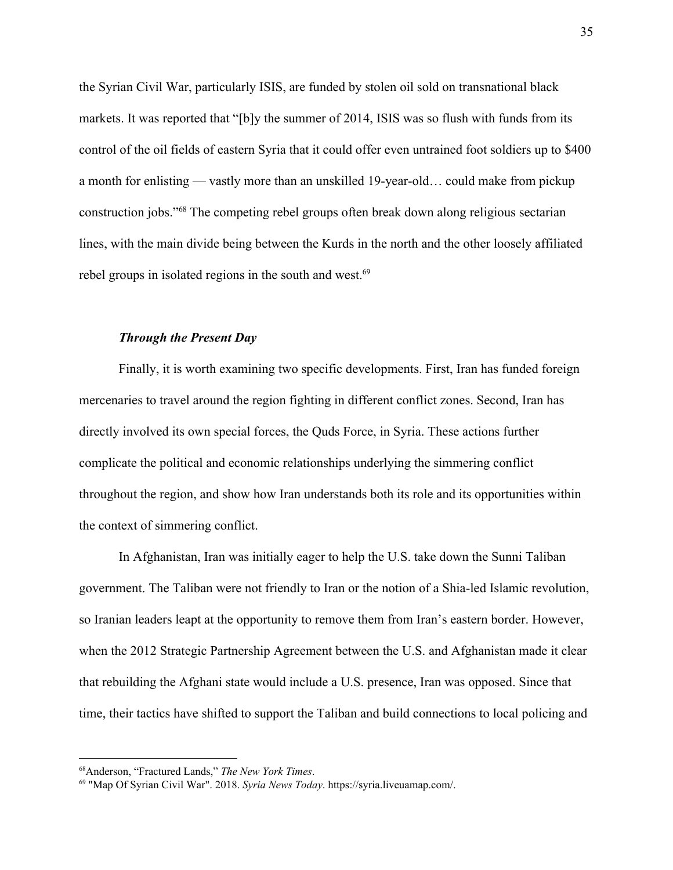the Syrian Civil War, particularly ISIS, are funded by stolen oil sold on transnational black markets. It was reported that "[b]y the summer of 2014, ISIS was so flush with funds from its control of the oil fields of eastern Syria that it could offer even untrained foot soldiers up to \$400 a month for enlisting — vastly more than an unskilled 19-year-old… could make from pickup construction jobs."<sup>68</sup> The competing rebel groups often break down along religious sectarian lines, with the main divide being between the Kurds in the north and the other loosely affiliated rebel groups in isolated regions in the south and west.<sup>69</sup>

#### *Through the Present Day*

Finally, it is worth examining two specific developments. First, Iran has funded foreign mercenaries to travel around the region fighting in different conflict zones. Second, Iran has directly involved its own special forces, the Quds Force, in Syria. These actions further complicate the political and economic relationships underlying the simmering conflict throughout the region, and show how Iran understands both its role and its opportunities within the context of simmering conflict.

In Afghanistan, Iran was initially eager to help the U.S. take down the Sunni Taliban government. The Taliban were not friendly to Iran or the notion of a Shia-led Islamic revolution, so Iranian leaders leapt at the opportunity to remove them from Iran's eastern border. However, when the 2012 Strategic Partnership Agreement between the U.S. and Afghanistan made it clear that rebuilding the Afghani state would include a U.S. presence, Iran was opposed. Since that time, their tactics have shifted to support the Taliban and build connections to local policing and

<sup>68</sup>Anderson, "Fractured Lands," *The New York Times*.

<sup>69</sup> "Map Of Syrian Civil War". 2018. *Syria News Today*. https://syria.liveuamap.com/.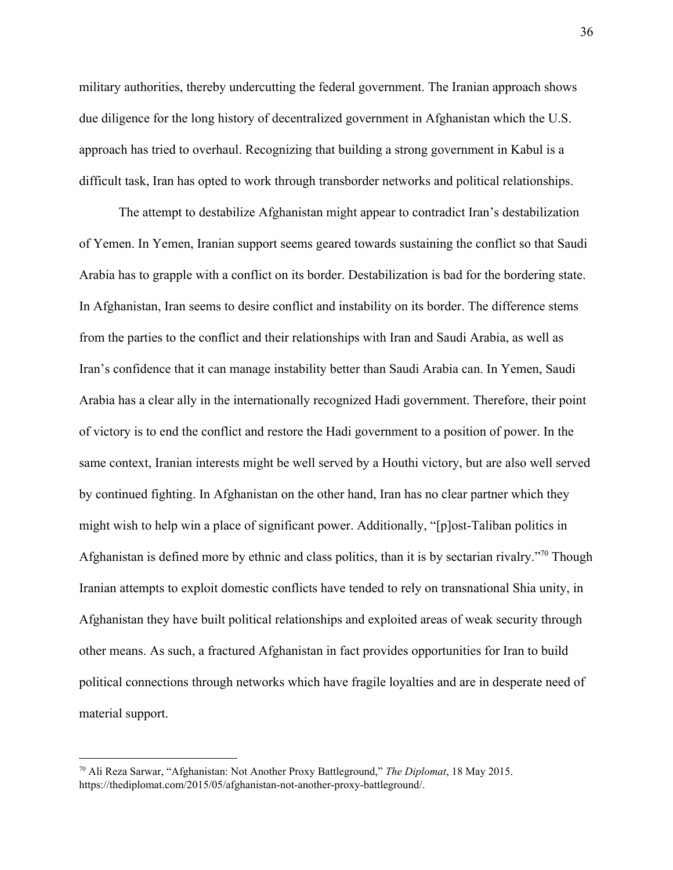military authorities, thereby undercutting the federal government. The Iranian approach shows due diligence for the long history of decentralized government in Afghanistan which the U.S. approach has tried to overhaul. Recognizing that building a strong government in Kabul is a difficult task, Iran has opted to work through transborder networks and political relationships.

The attempt to destabilize Afghanistan might appear to contradict Iran's destabilization of Yemen. In Yemen, Iranian support seems geared towards sustaining the conflict so that Saudi Arabia has to grapple with a conflict on its border. Destabilization is bad for the bordering state. In Afghanistan, Iran seems to desire conflict and instability on its border. The difference stems from the parties to the conflict and their relationships with Iran and Saudi Arabia, as well as Iran's confidence that it can manage instability better than Saudi Arabia can. In Yemen, Saudi Arabia has a clear ally in the internationally recognized Hadi government. Therefore, their point of victory is to end the conflict and restore the Hadi government to a position of power. In the same context, Iranian interests might be well served by a Houthi victory, but are also well served by continued fighting. In Afghanistan on the other hand, Iran has no clear partner which they might wish to help win a place of significant power. Additionally, "[p]ost-Taliban politics in Afghanistan is defined more by ethnic and class politics, than it is by sectarian rivalry.<sup>"70</sup> Though Iranian attempts to exploit domestic conflicts have tended to rely on transnational Shia unity, in Afghanistan they have built political relationships and exploited areas of weak security through other means. As such, a fractured Afghanistan in fact provides opportunities for Iran to build political connections through networks which have fragile loyalties and are in desperate need of material support.

<sup>70</sup> Ali Reza Sarwar, "Afghanistan: Not Another Proxy Battleground," *The Diplomat*, 18 May 2015. https://thediplomat.com/2015/05/afghanistan-not-another-proxy-battleground/.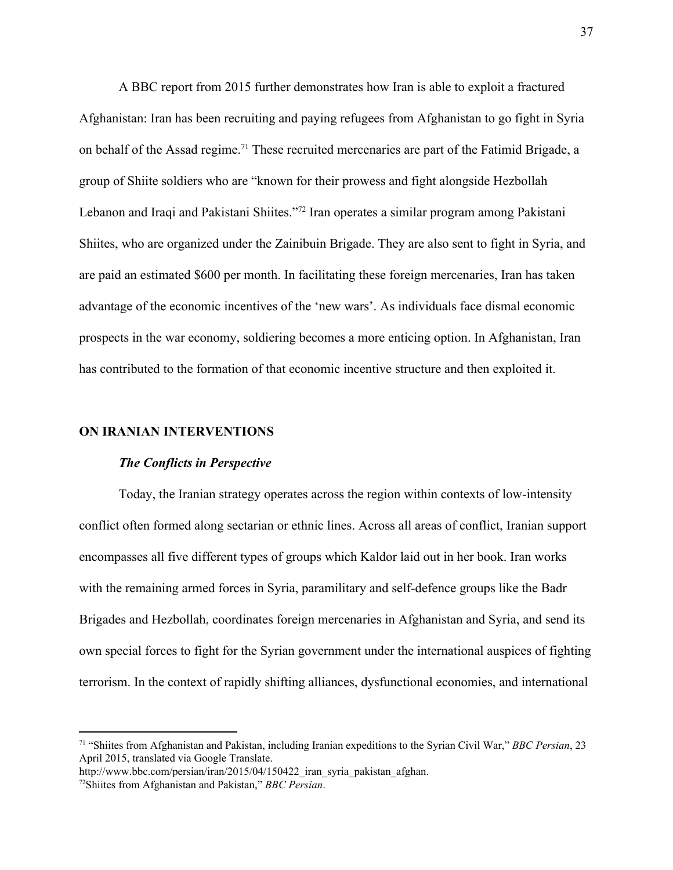A BBC report from 2015 further demonstrates how Iran is able to exploit a fractured Afghanistan: Iran has been recruiting and paying refugees from Afghanistan to go fight in Syria on behalf of the Assad regime.<sup>71</sup> These recruited mercenaries are part of the Fatimid Brigade, a group of Shiite soldiers who are "known for their prowess and fight alongside Hezbollah Lebanon and Iraqi and Pakistani Shiites."<sup>72</sup> Iran operates a similar program among Pakistani Shiites, who are organized under the Zainibuin Brigade. They are also sent to fight in Syria, and are paid an estimated \$600 per month. In facilitating these foreign mercenaries, Iran has taken advantage of the economic incentives of the 'new wars'. As individuals face dismal economic prospects in the war economy, soldiering becomes a more enticing option. In Afghanistan, Iran has contributed to the formation of that economic incentive structure and then exploited it.

#### **ON IRANIAN INTERVENTIONS**

#### *The Conflicts in Perspective*

Today, the Iranian strategy operates across the region within contexts of low-intensity conflict often formed along sectarian or ethnic lines. Across all areas of conflict, Iranian support encompasses all five different types of groups which Kaldor laid out in her book. Iran works with the remaining armed forces in Syria, paramilitary and self-defence groups like the Badr Brigades and Hezbollah, coordinates foreign mercenaries in Afghanistan and Syria, and send its own special forces to fight for the Syrian government under the international auspices of fighting terrorism. In the context of rapidly shifting alliances, dysfunctional economies, and international

<sup>71</sup> "Shiites from Afghanistan and Pakistan, including Iranian expeditions to the Syrian Civil War," *BBC Persian*, 23 April 2015, translated via Google Translate.

http://www.bbc.com/persian/iran/2015/04/150422 iran\_syria\_pakistan\_afghan.

<sup>72</sup>Shiites from Afghanistan and Pakistan," *BBC Persian*.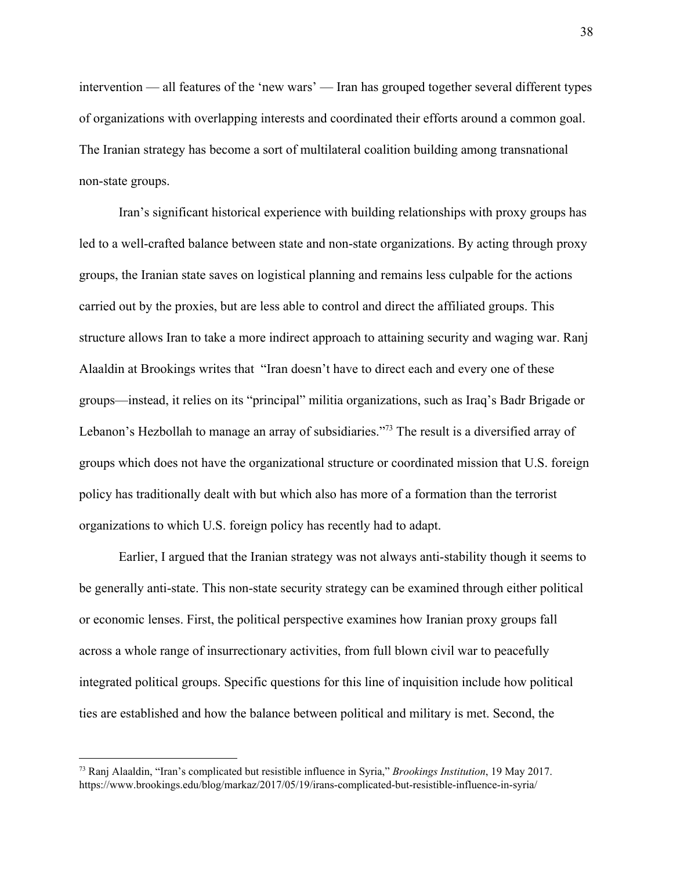intervention — all features of the 'new wars' — Iran has grouped together several different types of organizations with overlapping interests and coordinated their efforts around a common goal. The Iranian strategy has become a sort of multilateral coalition building among transnational non-state groups.

Iran's significant historical experience with building relationships with proxy groups has led to a well-crafted balance between state and non-state organizations. By acting through proxy groups, the Iranian state saves on logistical planning and remains less culpable for the actions carried out by the proxies, but are less able to control and direct the affiliated groups. This structure allows Iran to take a more indirect approach to attaining security and waging war. Ranj Alaaldin at Brookings writes that "Iran doesn't have to direct each and every one of these groups—instead, it relies on its "principal" militia organizations, such as Iraq's Badr Brigade or Lebanon's Hezbollah to manage an array of subsidiaries."<sup>73</sup> The result is a diversified array of groups which does not have the organizational structure or coordinated mission that U.S. foreign policy has traditionally dealt with but which also has more of a formation than the terrorist organizations to which U.S. foreign policy has recently had to adapt.

Earlier, I argued that the Iranian strategy was not always anti-stability though it seems to be generally anti-state. This non-state security strategy can be examined through either political or economic lenses. First, the political perspective examines how Iranian proxy groups fall across a whole range of insurrectionary activities, from full blown civil war to peacefully integrated political groups. Specific questions for this line of inquisition include how political ties are established and how the balance between political and military is met. Second, the

<sup>73</sup> Ranj Alaaldin, "Iran's complicated but resistible influence in Syria," *Brookings Institution*, 19 May 2017. https://www.brookings.edu/blog/markaz/2017/05/19/irans-complicated-but-resistible-influence-in-syria/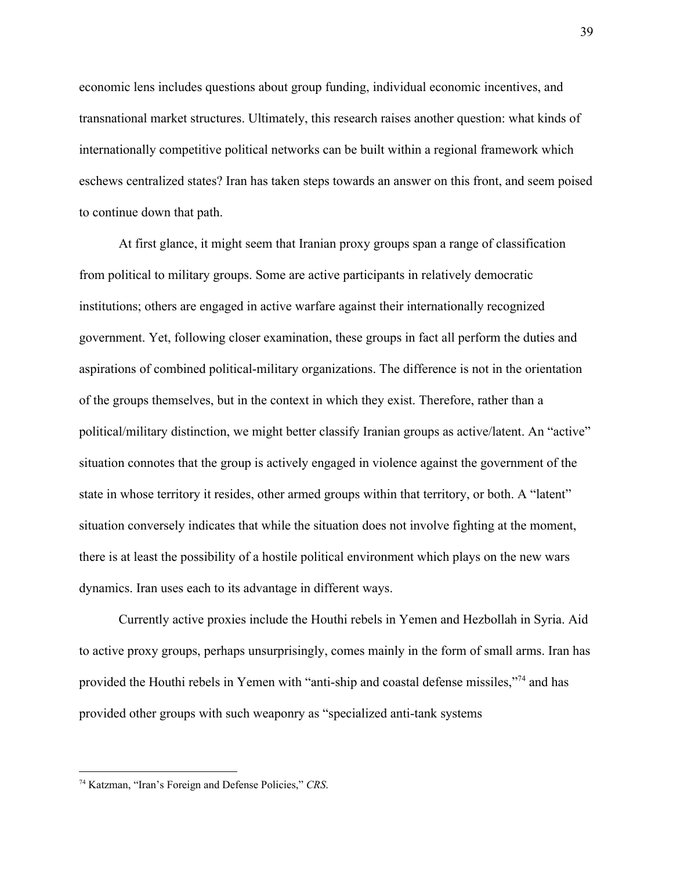economic lens includes questions about group funding, individual economic incentives, and transnational market structures. Ultimately, this research raises another question: what kinds of internationally competitive political networks can be built within a regional framework which eschews centralized states? Iran has taken steps towards an answer on this front, and seem poised to continue down that path.

At first glance, it might seem that Iranian proxy groups span a range of classification from political to military groups. Some are active participants in relatively democratic institutions; others are engaged in active warfare against their internationally recognized government. Yet, following closer examination, these groups in fact all perform the duties and aspirations of combined political-military organizations. The difference is not in the orientation of the groups themselves, but in the context in which they exist. Therefore, rather than a political/military distinction, we might better classify Iranian groups as active/latent. An "active" situation connotes that the group is actively engaged in violence against the government of the state in whose territory it resides, other armed groups within that territory, or both. A "latent" situation conversely indicates that while the situation does not involve fighting at the moment, there is at least the possibility of a hostile political environment which plays on the new wars dynamics. Iran uses each to its advantage in different ways.

Currently active proxies include the Houthi rebels in Yemen and Hezbollah in Syria. Aid to active proxy groups, perhaps unsurprisingly, comes mainly in the form of small arms. Iran has provided the Houthi rebels in Yemen with "anti-ship and coastal defense missiles,"<sup>74</sup> and has provided other groups with such weaponry as "specialized anti-tank systems

<sup>74</sup> Katzman, "Iran's Foreign and Defense Policies," *CRS*.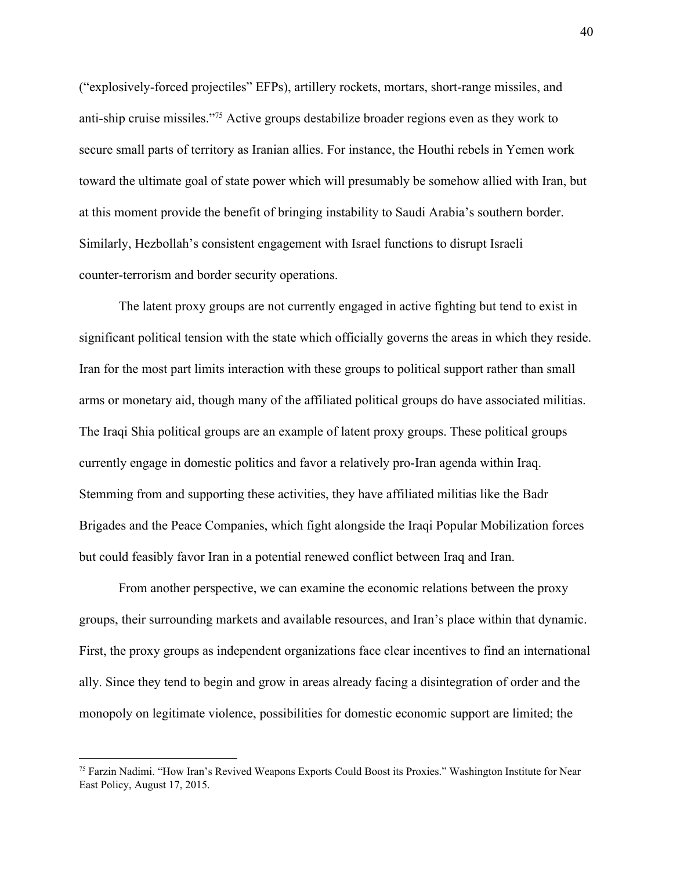("explosively-forced projectiles" EFPs), artillery rockets, mortars, short-range missiles, and anti-ship cruise missiles."<sup> $75$ </sup> Active groups destabilize broader regions even as they work to secure small parts of territory as Iranian allies. For instance, the Houthi rebels in Yemen work toward the ultimate goal of state power which will presumably be somehow allied with Iran, but at this moment provide the benefit of bringing instability to Saudi Arabia's southern border. Similarly, Hezbollah's consistent engagement with Israel functions to disrupt Israeli counter-terrorism and border security operations.

The latent proxy groups are not currently engaged in active fighting but tend to exist in significant political tension with the state which officially governs the areas in which they reside. Iran for the most part limits interaction with these groups to political support rather than small arms or monetary aid, though many of the affiliated political groups do have associated militias. The Iraqi Shia political groups are an example of latent proxy groups. These political groups currently engage in domestic politics and favor a relatively pro-Iran agenda within Iraq. Stemming from and supporting these activities, they have affiliated militias like the Badr Brigades and the Peace Companies, which fight alongside the Iraqi Popular Mobilization forces but could feasibly favor Iran in a potential renewed conflict between Iraq and Iran.

From another perspective, we can examine the economic relations between the proxy groups, their surrounding markets and available resources, and Iran's place within that dynamic. First, the proxy groups as independent organizations face clear incentives to find an international ally. Since they tend to begin and grow in areas already facing a disintegration of order and the monopoly on legitimate violence, possibilities for domestic economic support are limited; the

<sup>75</sup> Farzin Nadimi. "How Iran's Revived Weapons Exports Could Boost its Proxies." Washington Institute for Near East Policy, August 17, 2015.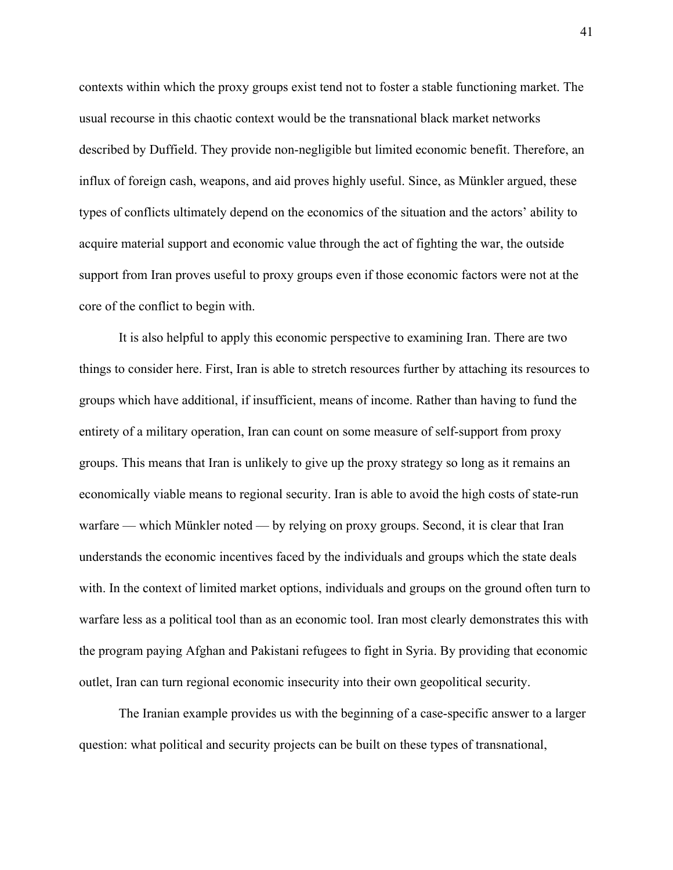contexts within which the proxy groups exist tend not to foster a stable functioning market. The usual recourse in this chaotic context would be the transnational black market networks described by Duffield. They provide non-negligible but limited economic benefit. Therefore, an influx of foreign cash, weapons, and aid proves highly useful. Since, as Münkler argued, these types of conflicts ultimately depend on the economics of the situation and the actors' ability to acquire material support and economic value through the act of fighting the war, the outside support from Iran proves useful to proxy groups even if those economic factors were not at the core of the conflict to begin with.

It is also helpful to apply this economic perspective to examining Iran. There are two things to consider here. First, Iran is able to stretch resources further by attaching its resources to groups which have additional, if insufficient, means of income. Rather than having to fund the entirety of a military operation, Iran can count on some measure of self-support from proxy groups. This means that Iran is unlikely to give up the proxy strategy so long as it remains an economically viable means to regional security. Iran is able to avoid the high costs of state-run warfare — which Münkler noted — by relying on proxy groups. Second, it is clear that Iran understands the economic incentives faced by the individuals and groups which the state deals with. In the context of limited market options, individuals and groups on the ground often turn to warfare less as a political tool than as an economic tool. Iran most clearly demonstrates this with the program paying Afghan and Pakistani refugees to fight in Syria. By providing that economic outlet, Iran can turn regional economic insecurity into their own geopolitical security.

The Iranian example provides us with the beginning of a case-specific answer to a larger question: what political and security projects can be built on these types of transnational,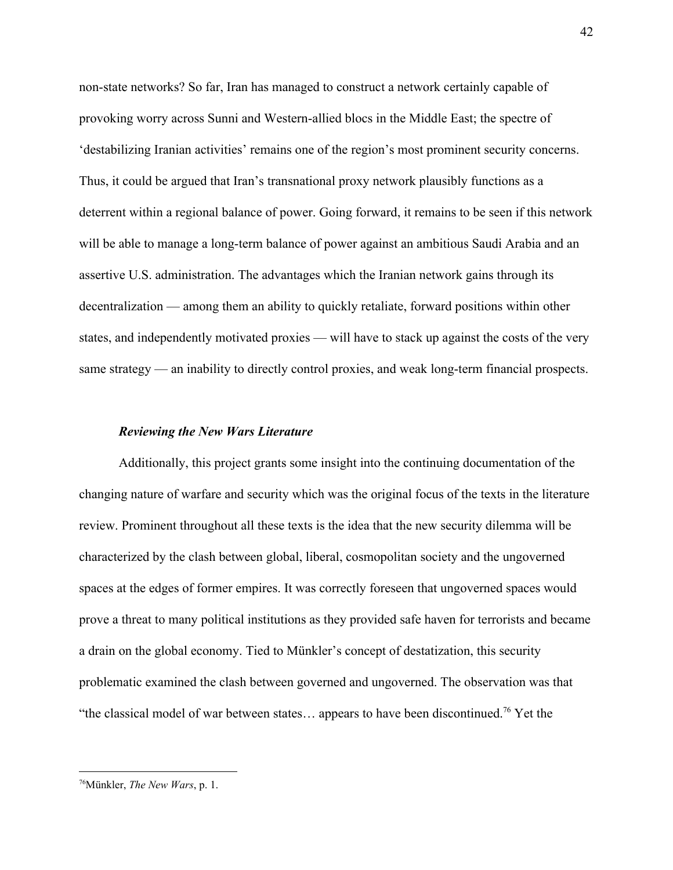non-state networks? So far, Iran has managed to construct a network certainly capable of provoking worry across Sunni and Western-allied blocs in the Middle East; the spectre of 'destabilizing Iranian activities' remains one of the region's most prominent security concerns. Thus, it could be argued that Iran's transnational proxy network plausibly functions as a deterrent within a regional balance of power. Going forward, it remains to be seen if this network will be able to manage a long-term balance of power against an ambitious Saudi Arabia and an assertive U.S. administration. The advantages which the Iranian network gains through its decentralization — among them an ability to quickly retaliate, forward positions within other states, and independently motivated proxies — will have to stack up against the costs of the very same strategy — an inability to directly control proxies, and weak long-term financial prospects.

#### *Reviewing the New Wars Literature*

Additionally, this project grants some insight into the continuing documentation of the changing nature of warfare and security which was the original focus of the texts in the literature review. Prominent throughout all these texts is the idea that the new security dilemma will be characterized by the clash between global, liberal, cosmopolitan society and the ungoverned spaces at the edges of former empires. It was correctly foreseen that ungoverned spaces would prove a threat to many political institutions as they provided safe haven for terrorists and became a drain on the global economy. Tied to Münkler's concept of destatization, this security problematic examined the clash between governed and ungoverned. The observation was that "the classical model of war between states... appears to have been discontinued.<sup>76</sup> Yet the

<sup>76</sup>Münkler, *The New Wars*, p. 1.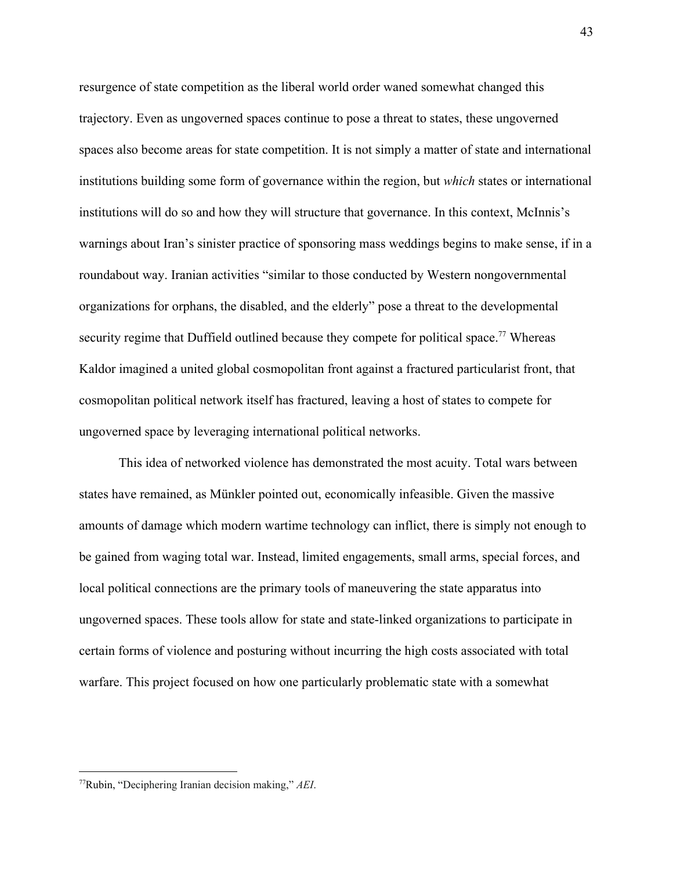resurgence of state competition as the liberal world order waned somewhat changed this trajectory. Even as ungoverned spaces continue to pose a threat to states, these ungoverned spaces also become areas for state competition. It is not simply a matter of state and international institutions building some form of governance within the region, but *which* states or international institutions will do so and how they will structure that governance. In this context, McInnis's warnings about Iran's sinister practice of sponsoring mass weddings begins to make sense, if in a roundabout way. Iranian activities "similar to those conducted by Western nongovernmental organizations for orphans, the disabled, and the elderly" pose a threat to the developmental security regime that Duffield outlined because they compete for political space.<sup> $77$ </sup> Whereas Kaldor imagined a united global cosmopolitan front against a fractured particularist front, that cosmopolitan political network itself has fractured, leaving a host of states to compete for ungoverned space by leveraging international political networks.

This idea of networked violence has demonstrated the most acuity. Total wars between states have remained, as Münkler pointed out, economically infeasible. Given the massive amounts of damage which modern wartime technology can inflict, there is simply not enough to be gained from waging total war. Instead, limited engagements, small arms, special forces, and local political connections are the primary tools of maneuvering the state apparatus into ungoverned spaces. These tools allow for state and state-linked organizations to participate in certain forms of violence and posturing without incurring the high costs associated with total warfare. This project focused on how one particularly problematic state with a somewhat

<sup>77</sup>Rubin, "Deciphering Iranian decision making," *AEI*.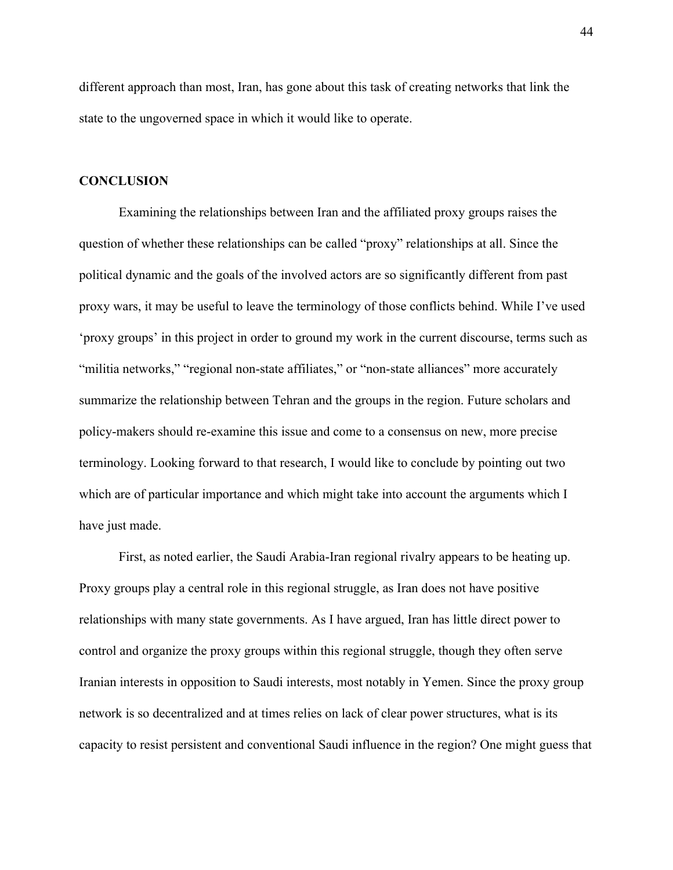different approach than most, Iran, has gone about this task of creating networks that link the state to the ungoverned space in which it would like to operate.

#### **CONCLUSION**

Examining the relationships between Iran and the affiliated proxy groups raises the question of whether these relationships can be called "proxy" relationships at all. Since the political dynamic and the goals of the involved actors are so significantly different from past proxy wars, it may be useful to leave the terminology of those conflicts behind. While I've used 'proxy groups' in this project in order to ground my work in the current discourse, terms such as "militia networks," "regional non-state affiliates," or "non-state alliances" more accurately summarize the relationship between Tehran and the groups in the region. Future scholars and policy-makers should re-examine this issue and come to a consensus on new, more precise terminology. Looking forward to that research, I would like to conclude by pointing out two which are of particular importance and which might take into account the arguments which I have just made.

First, as noted earlier, the Saudi Arabia-Iran regional rivalry appears to be heating up. Proxy groups play a central role in this regional struggle, as Iran does not have positive relationships with many state governments. As I have argued, Iran has little direct power to control and organize the proxy groups within this regional struggle, though they often serve Iranian interests in opposition to Saudi interests, most notably in Yemen. Since the proxy group network is so decentralized and at times relies on lack of clear power structures, what is its capacity to resist persistent and conventional Saudi influence in the region? One might guess that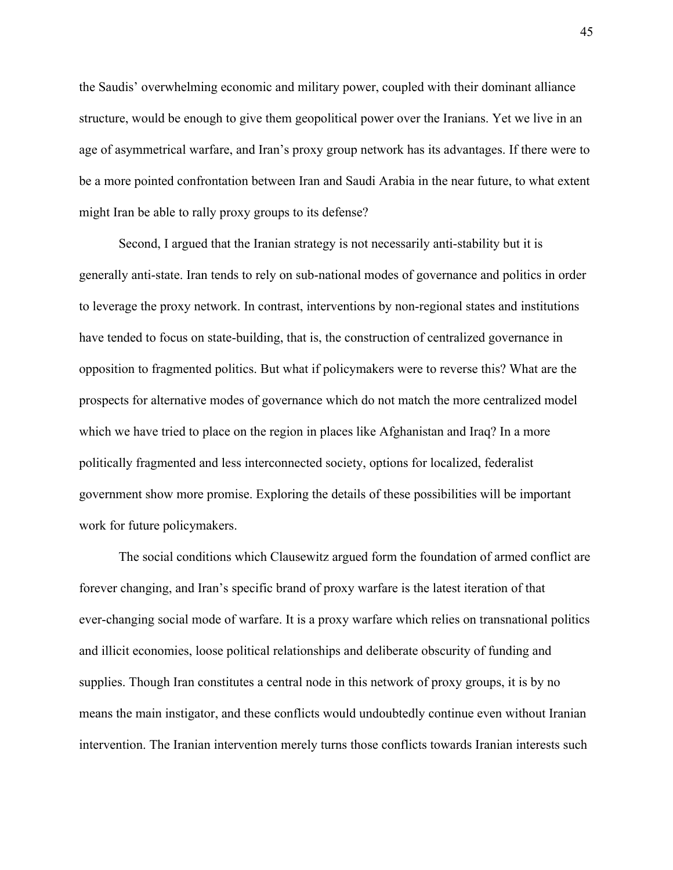the Saudis' overwhelming economic and military power, coupled with their dominant alliance structure, would be enough to give them geopolitical power over the Iranians. Yet we live in an age of asymmetrical warfare, and Iran's proxy group network has its advantages. If there were to be a more pointed confrontation between Iran and Saudi Arabia in the near future, to what extent might Iran be able to rally proxy groups to its defense?

Second, I argued that the Iranian strategy is not necessarily anti-stability but it is generally anti-state. Iran tends to rely on sub-national modes of governance and politics in order to leverage the proxy network. In contrast, interventions by non-regional states and institutions have tended to focus on state-building, that is, the construction of centralized governance in opposition to fragmented politics. But what if policymakers were to reverse this? What are the prospects for alternative modes of governance which do not match the more centralized model which we have tried to place on the region in places like Afghanistan and Iraq? In a more politically fragmented and less interconnected society, options for localized, federalist government show more promise. Exploring the details of these possibilities will be important work for future policymakers.

The social conditions which Clausewitz argued form the foundation of armed conflict are forever changing, and Iran's specific brand of proxy warfare is the latest iteration of that ever-changing social mode of warfare. It is a proxy warfare which relies on transnational politics and illicit economies, loose political relationships and deliberate obscurity of funding and supplies. Though Iran constitutes a central node in this network of proxy groups, it is by no means the main instigator, and these conflicts would undoubtedly continue even without Iranian intervention. The Iranian intervention merely turns those conflicts towards Iranian interests such